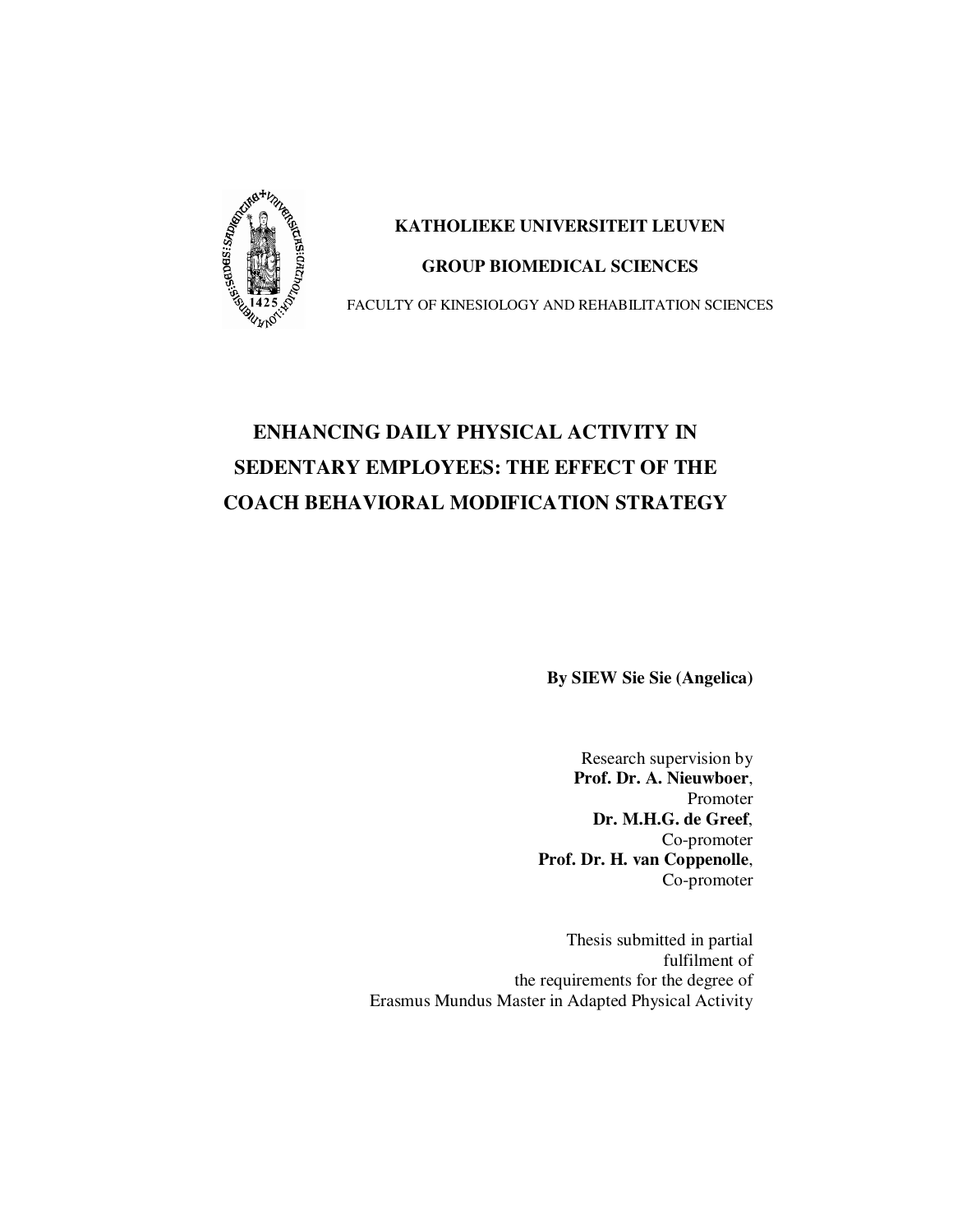

# **KATHOLIEKE UNIVERSITEIT LEUVEN GROUP BIOMEDICAL SCIENCES**

FACULTY OF KINESIOLOGY AND REHABILITATION SCIENCES

# **ENHANCING DAILY PHYSICAL ACTIVITY IN SEDENTARY EMPLOYEES: THE EFFECT OF THE COACH BEHAVIORAL MODIFICATION STRATEGY**

**By SIEW Sie Sie (Angelica)** 

Research supervision by **Prof. Dr. A. Nieuwboer**, Promoter  **Dr. M.H.G. de Greef**, Co-promoter **Prof. Dr. H. van Coppenolle**, Co-promoter

Thesis submitted in partial fulfilment of the requirements for the degree of Erasmus Mundus Master in Adapted Physical Activity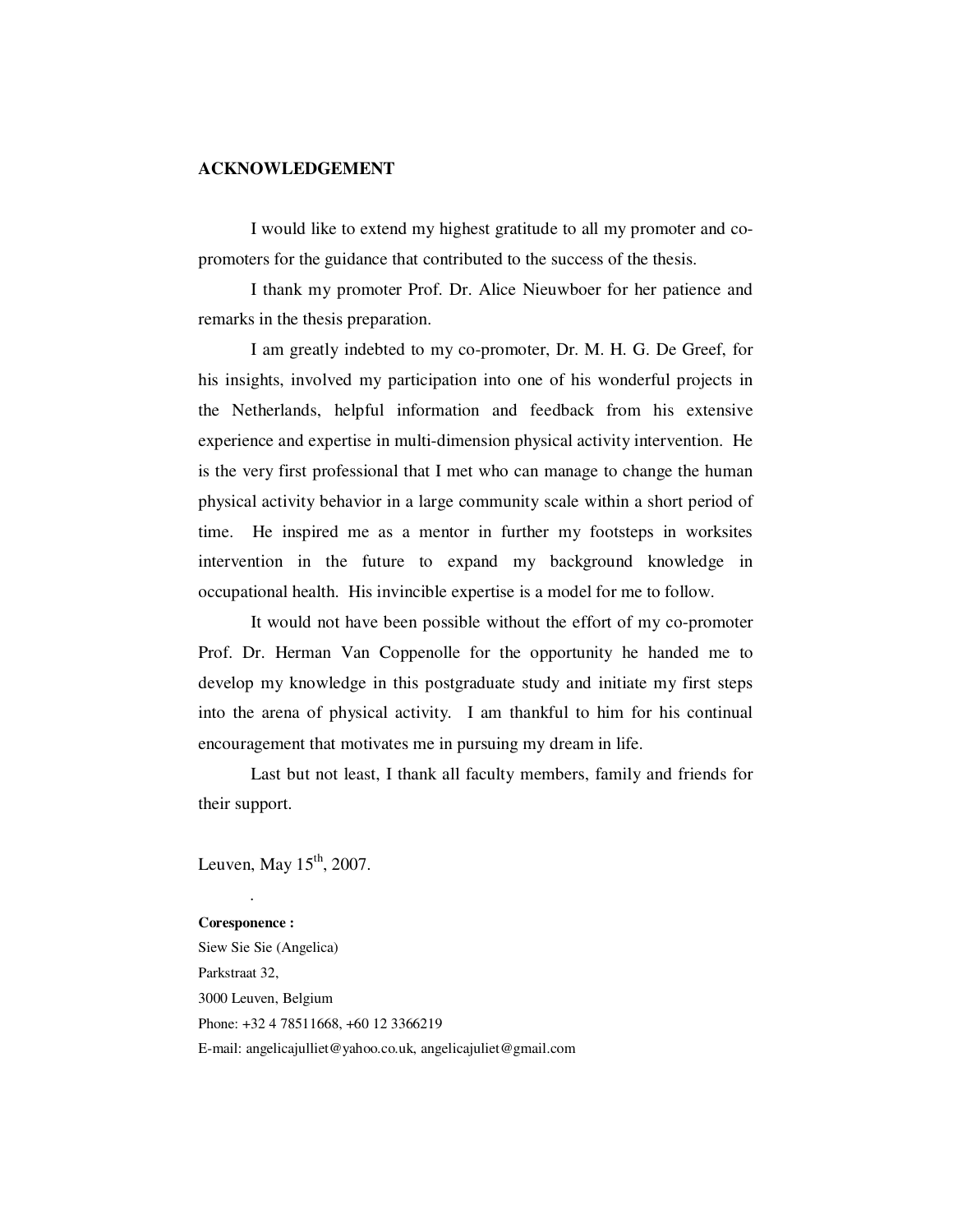#### **ACKNOWLEDGEMENT**

I would like to extend my highest gratitude to all my promoter and copromoters for the guidance that contributed to the success of the thesis.

I thank my promoter Prof. Dr. Alice Nieuwboer for her patience and remarks in the thesis preparation.

I am greatly indebted to my co-promoter, Dr. M. H. G. De Greef, for his insights, involved my participation into one of his wonderful projects in the Netherlands, helpful information and feedback from his extensive experience and expertise in multi-dimension physical activity intervention. He is the very first professional that I met who can manage to change the human physical activity behavior in a large community scale within a short period of time. He inspired me as a mentor in further my footsteps in worksites intervention in the future to expand my background knowledge in occupational health. His invincible expertise is a model for me to follow.

It would not have been possible without the effort of my co-promoter Prof. Dr. Herman Van Coppenolle for the opportunity he handed me to develop my knowledge in this postgraduate study and initiate my first steps into the arena of physical activity. I am thankful to him for his continual encouragement that motivates me in pursuing my dream in life.

 Last but not least, I thank all faculty members, family and friends for their support.

Leuven, May  $15<sup>th</sup>$ , 2007.

.

**Coresponence :**  Siew Sie Sie (Angelica) Parkstraat 32, 3000 Leuven, Belgium Phone: +32 4 78511668, +60 12 3366219 E-mail: angelicajulliet@yahoo.co.uk, angelicajuliet@gmail.com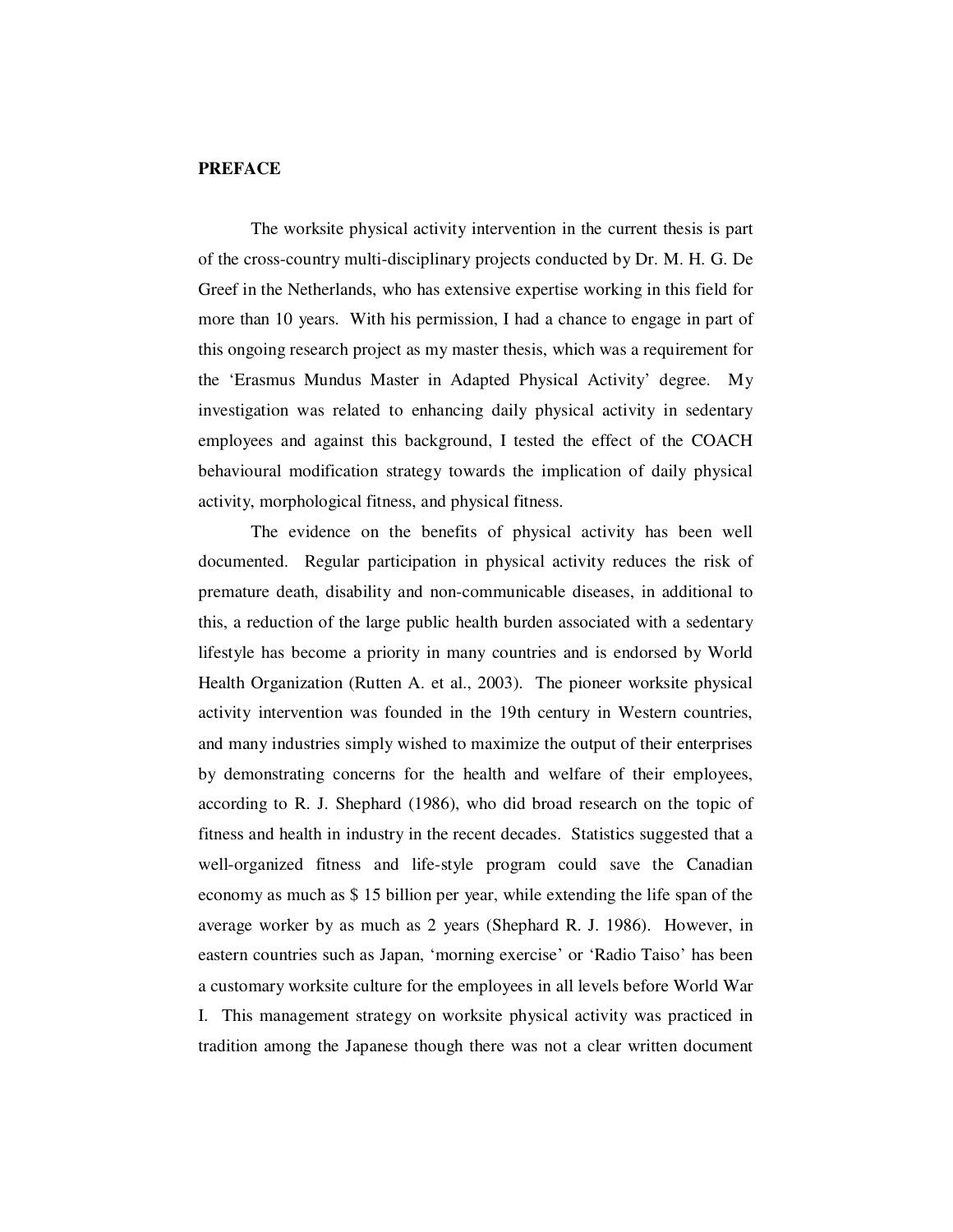### **PREFACE**

The worksite physical activity intervention in the current thesis is part of the cross-country multi-disciplinary projects conducted by Dr. M. H. G. De Greef in the Netherlands, who has extensive expertise working in this field for more than 10 years. With his permission, I had a chance to engage in part of this ongoing research project as my master thesis, which was a requirement for the 'Erasmus Mundus Master in Adapted Physical Activity' degree. My investigation was related to enhancing daily physical activity in sedentary employees and against this background, I tested the effect of the COACH behavioural modification strategy towards the implication of daily physical activity, morphological fitness, and physical fitness.

The evidence on the benefits of physical activity has been well documented. Regular participation in physical activity reduces the risk of premature death, disability and non-communicable diseases, in additional to this, a reduction of the large public health burden associated with a sedentary lifestyle has become a priority in many countries and is endorsed by World Health Organization (Rutten A. et al., 2003). The pioneer worksite physical activity intervention was founded in the 19th century in Western countries, and many industries simply wished to maximize the output of their enterprises by demonstrating concerns for the health and welfare of their employees, according to R. J. Shephard (1986), who did broad research on the topic of fitness and health in industry in the recent decades. Statistics suggested that a well-organized fitness and life-style program could save the Canadian economy as much as \$ 15 billion per year, while extending the life span of the average worker by as much as 2 years (Shephard R. J. 1986). However, in eastern countries such as Japan, 'morning exercise' or 'Radio Taiso' has been a customary worksite culture for the employees in all levels before World War I. This management strategy on worksite physical activity was practiced in tradition among the Japanese though there was not a clear written document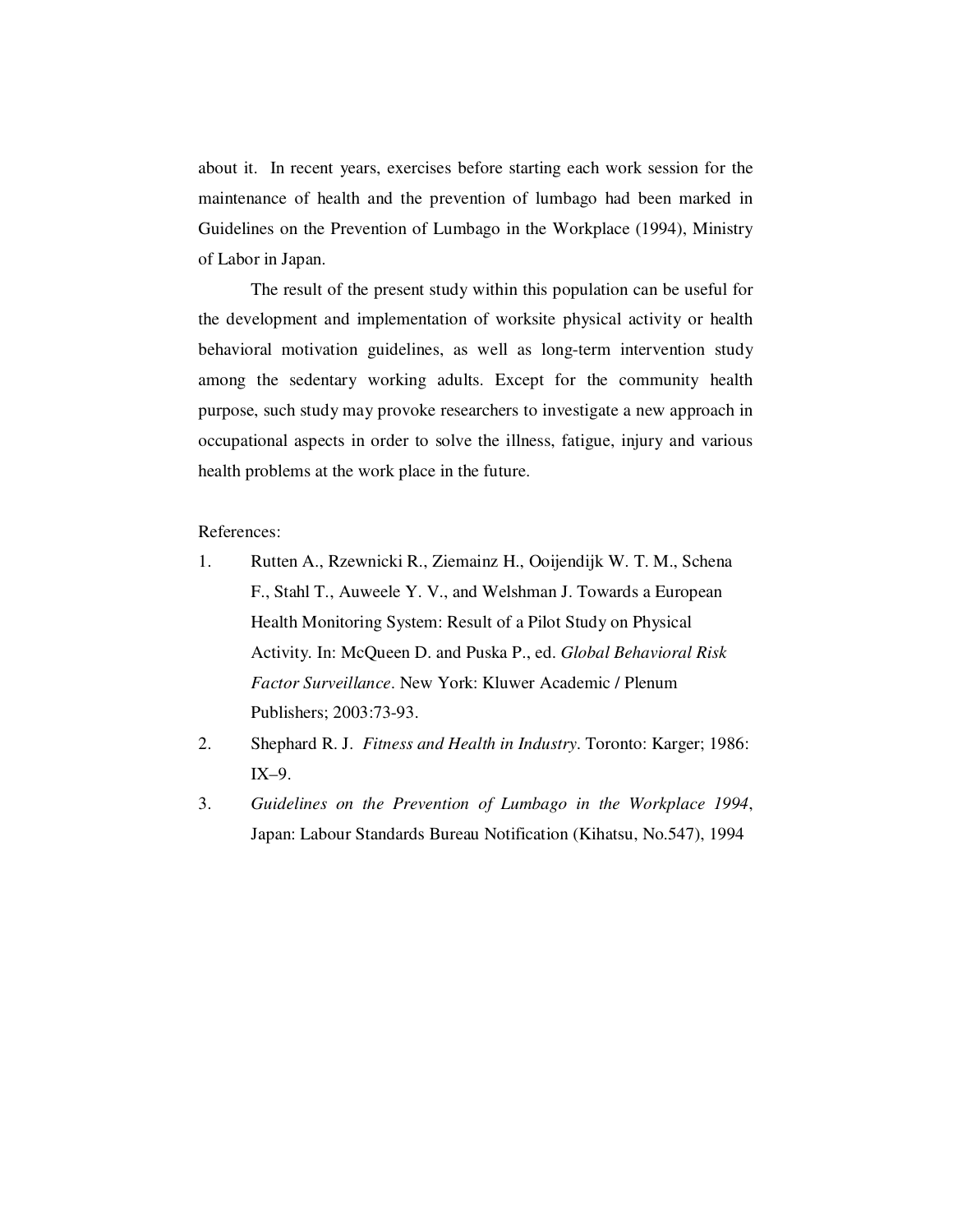about it. In recent years, exercises before starting each work session for the maintenance of health and the prevention of lumbago had been marked in Guidelines on the Prevention of Lumbago in the Workplace (1994), Ministry of Labor in Japan.

The result of the present study within this population can be useful for the development and implementation of worksite physical activity or health behavioral motivation guidelines, as well as long-term intervention study among the sedentary working adults. Except for the community health purpose, such study may provoke researchers to investigate a new approach in occupational aspects in order to solve the illness, fatigue, injury and various health problems at the work place in the future.

References:

- 1. Rutten A., Rzewnicki R., Ziemainz H., Ooijendijk W. T. M., Schena F., Stahl T., Auweele Y. V., and Welshman J. Towards a European Health Monitoring System: Result of a Pilot Study on Physical Activity. In: McQueen D. and Puska P., ed. *Global Behavioral Risk Factor Surveillance*. New York: Kluwer Academic / Plenum Publishers; 2003:73-93.
- 2. Shephard R. J. *Fitness and Health in Industry*. Toronto: Karger; 1986: IX–9.
- 3. *Guidelines on the Prevention of Lumbago in the Workplace 1994*, Japan: Labour Standards Bureau Notification (Kihatsu, No.547), 1994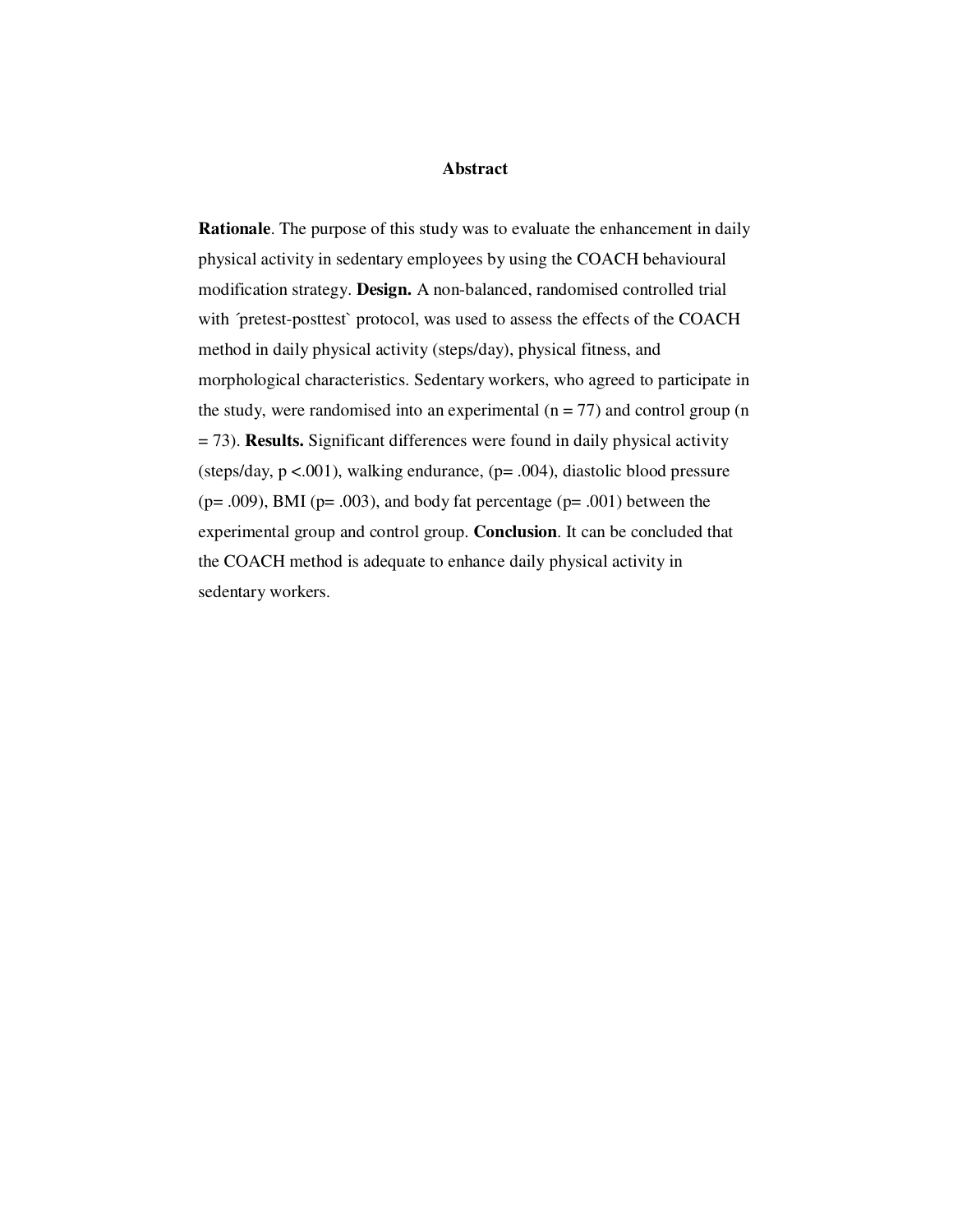#### **Abstract**

**Rationale**. The purpose of this study was to evaluate the enhancement in daily physical activity in sedentary employees by using the COACH behavioural modification strategy. **Design.** A non-balanced, randomised controlled trial with 'pretest-posttest' protocol, was used to assess the effects of the COACH method in daily physical activity (steps/day), physical fitness, and morphological characteristics. Sedentary workers, who agreed to participate in the study, were randomised into an experimental  $(n = 77)$  and control group  $(n = 17)$ = 73). **Results.** Significant differences were found in daily physical activity (steps/day,  $p < .001$ ), walking endurance,  $(p = .004)$ , diastolic blood pressure ( $p = .009$ ), BMI ( $p = .003$ ), and body fat percentage ( $p = .001$ ) between the experimental group and control group. **Conclusion**. It can be concluded that the COACH method is adequate to enhance daily physical activity in sedentary workers.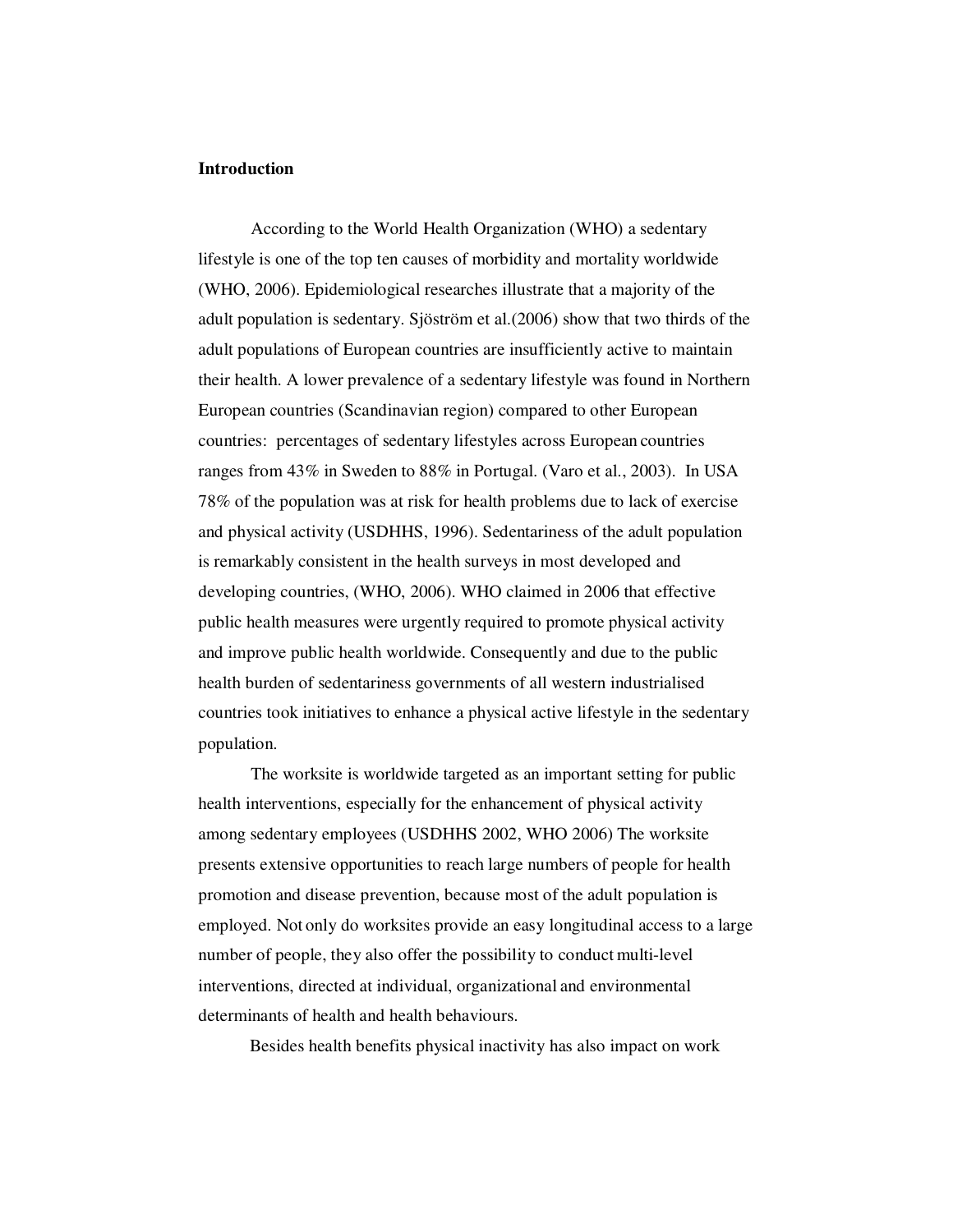#### **Introduction**

According to the World Health Organization (WHO) a sedentary lifestyle is one of the top ten causes of morbidity and mortality worldwide (WHO, 2006). Epidemiological researches illustrate that a majority of the adult population is sedentary. Sjöström et al.(2006) show that two thirds of the adult populations of European countries are insufficiently active to maintain their health. A lower prevalence of a sedentary lifestyle was found in Northern European countries (Scandinavian region) compared to other European countries: percentages of sedentary lifestyles across European countries ranges from 43% in Sweden to 88% in Portugal. (Varo et al., 2003).In USA 78% of the population was at risk for health problems due to lack of exercise and physical activity (USDHHS, 1996). Sedentariness of the adult population is remarkably consistent in the health surveys in most developed and developing countries, (WHO, 2006). WHO claimed in 2006 that effective public health measures were urgently required to promote physical activity and improve public health worldwide. Consequently and due to the public health burden of sedentariness governments of all western industrialised countries took initiatives to enhance a physical active lifestyle in the sedentary population.

The worksite is worldwide targeted as an important setting for public health interventions, especially for the enhancement of physical activity among sedentary employees (USDHHS 2002, WHO 2006) The worksite presents extensive opportunities to reach large numbers of people for health promotion and disease prevention, because most of the adult population is employed. Not only do worksites provide an easy longitudinal access to a large number of people, they also offer the possibility to conduct multi-level interventions, directed at individual, organizational and environmental determinants of health and health behaviours.

Besides health benefits physical inactivity has also impact on work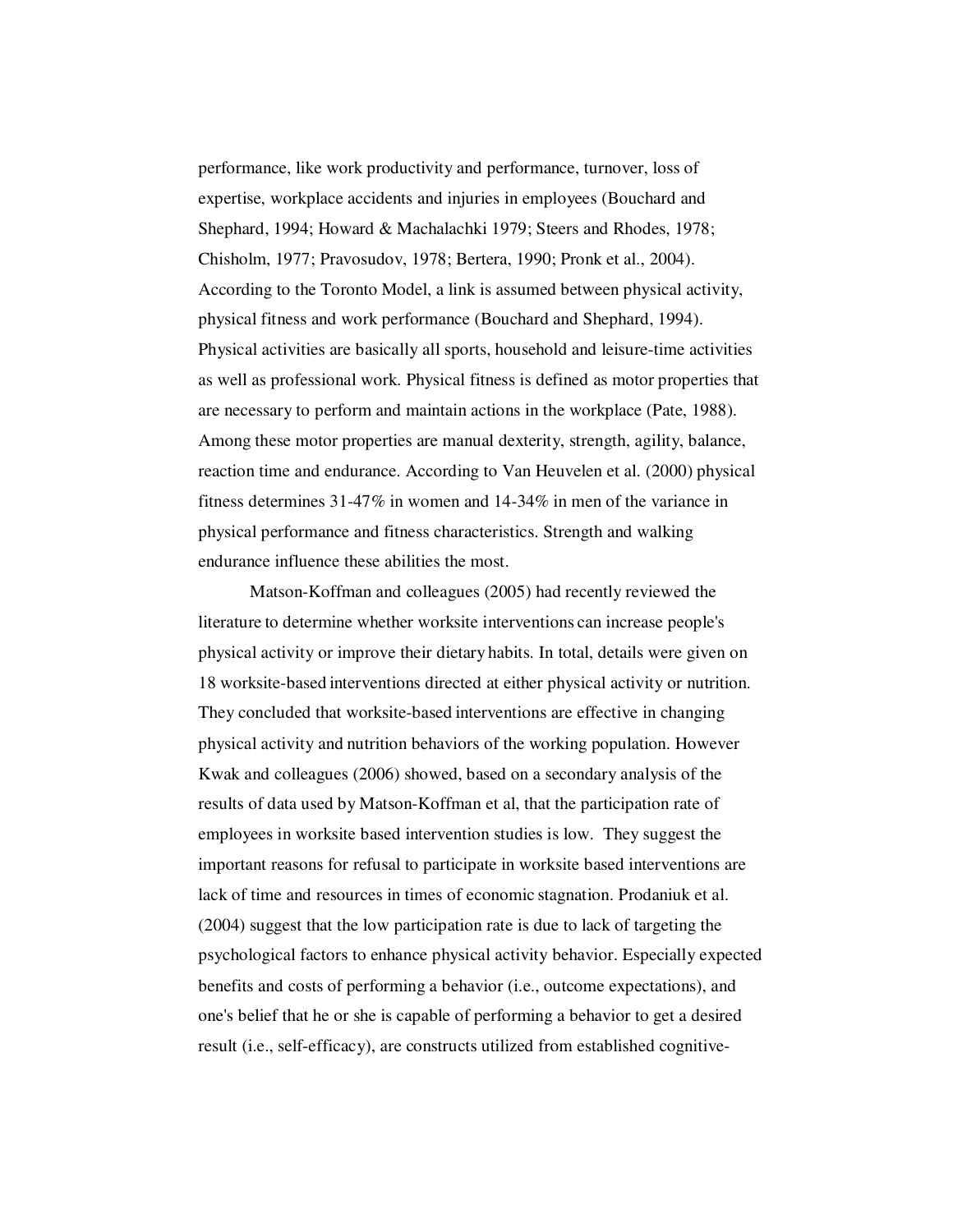performance, like work productivity and performance, turnover, loss of expertise, workplace accidents and injuries in employees (Bouchard and Shephard, 1994; Howard & Machalachki 1979; Steers and Rhodes, 1978; Chisholm, 1977; Pravosudov, 1978; Bertera, 1990; Pronk et al., 2004). According to the Toronto Model, a link is assumed between physical activity, physical fitness and work performance (Bouchard and Shephard, 1994). Physical activities are basically all sports, household and leisure-time activities as well as professional work. Physical fitness is defined as motor properties that are necessary to perform and maintain actions in the workplace (Pate, 1988). Among these motor properties are manual dexterity, strength, agility, balance, reaction time and endurance. According to Van Heuvelen et al. (2000) physical fitness determines 31-47% in women and 14-34% in men of the variance in physical performance and fitness characteristics. Strength and walking endurance influence these abilities the most.

Matson-Koffman and colleagues (2005) had recently reviewed the literature to determine whether worksite interventions can increase people's physical activity or improve their dietary habits. In total, details were given on 18 worksite-based interventions directed at either physical activity or nutrition. They concluded that worksite-based interventions are effective in changing physical activity and nutrition behaviors of the working population. However Kwak and colleagues (2006) showed, based on a secondary analysis of the results of data used by Matson-Koffman et al, that the participation rate of employees in worksite based intervention studies is low. They suggest the important reasons for refusal to participate in worksite based interventions are lack of time and resources in times of economic stagnation. Prodaniuk et al. (2004) suggest that the low participation rate is due to lack of targeting the psychological factors to enhance physical activity behavior. Especially expected benefits and costs of performing a behavior (i.e., outcome expectations), and one's belief that he or she is capable of performing a behavior to get a desired result (i.e., self-efficacy), are constructs utilized from established cognitive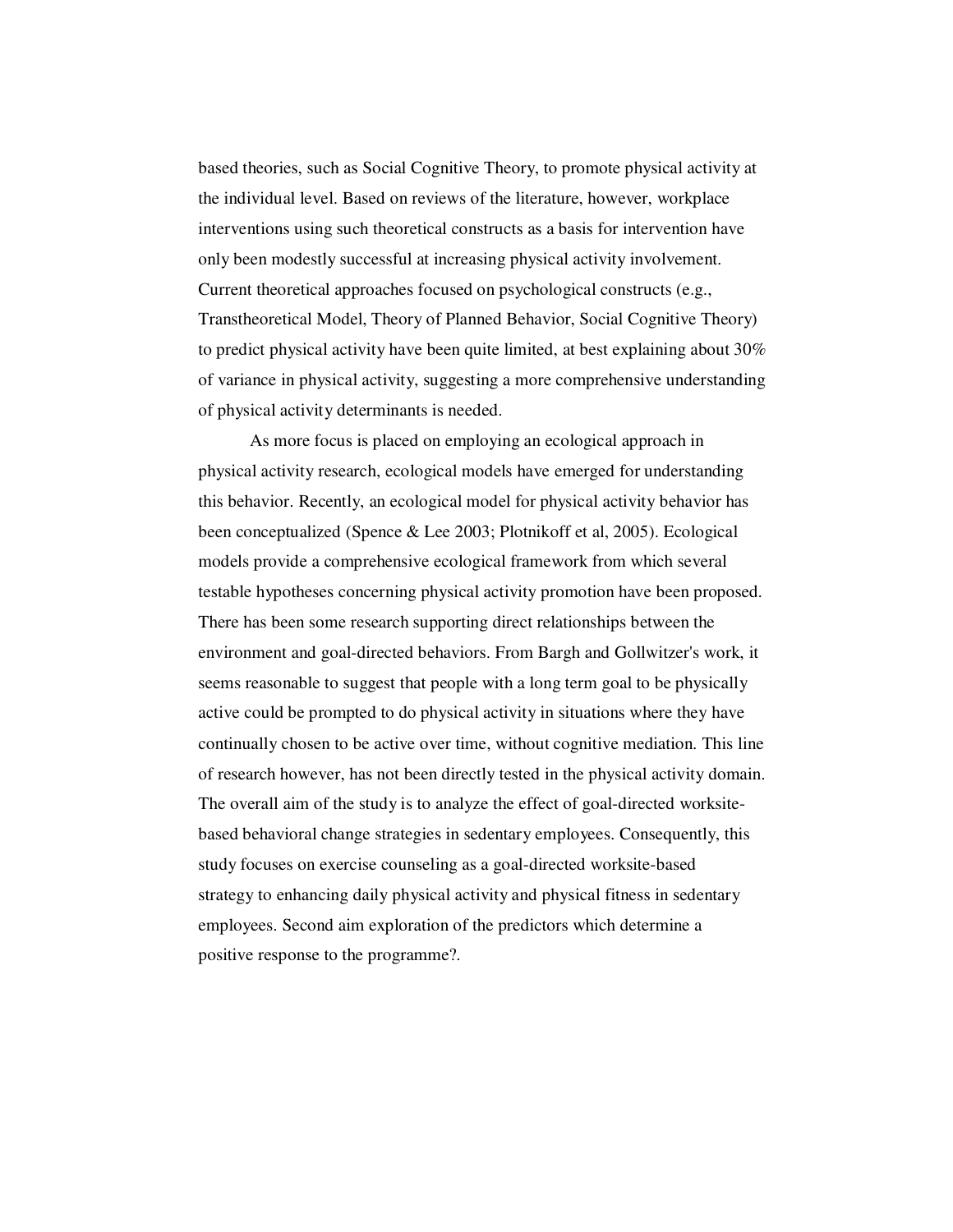based theories, such as Social Cognitive Theory, to promote physical activity at the individual level. Based on reviews of the literature, however, workplace interventions using such theoretical constructs as a basis for intervention have only been modestly successful at increasing physical activity involvement. Current theoretical approaches focused on psychological constructs (e.g., Transtheoretical Model, Theory of Planned Behavior, Social Cognitive Theory) to predict physical activity have been quite limited, at best explaining about 30% of variance in physical activity, suggesting a more comprehensive understanding of physical activity determinants is needed.

As more focus is placed on employing an ecological approach in physical activity research, ecological models have emerged for understanding this behavior. Recently, an ecological model for physical activity behavior has been conceptualized (Spence & Lee 2003; Plotnikoff et al, 2005). Ecological models provide a comprehensive ecological framework from which several testable hypotheses concerning physical activity promotion have been proposed. There has been some research supporting direct relationships between the environment and goal-directed behaviors. From Bargh and Gollwitzer's work, it seems reasonable to suggest that people with a long term goal to be physically active could be prompted to do physical activity in situations where they have continually chosen to be active over time, without cognitive mediation. This line of research however, has not been directly tested in the physical activity domain. The overall aim of the study is to analyze the effect of goal-directed worksitebased behavioral change strategies in sedentary employees. Consequently, this study focuses on exercise counseling as a goal-directed worksite-based strategy to enhancing daily physical activity and physical fitness in sedentary employees. Second aim exploration of the predictors which determine a positive response to the programme?.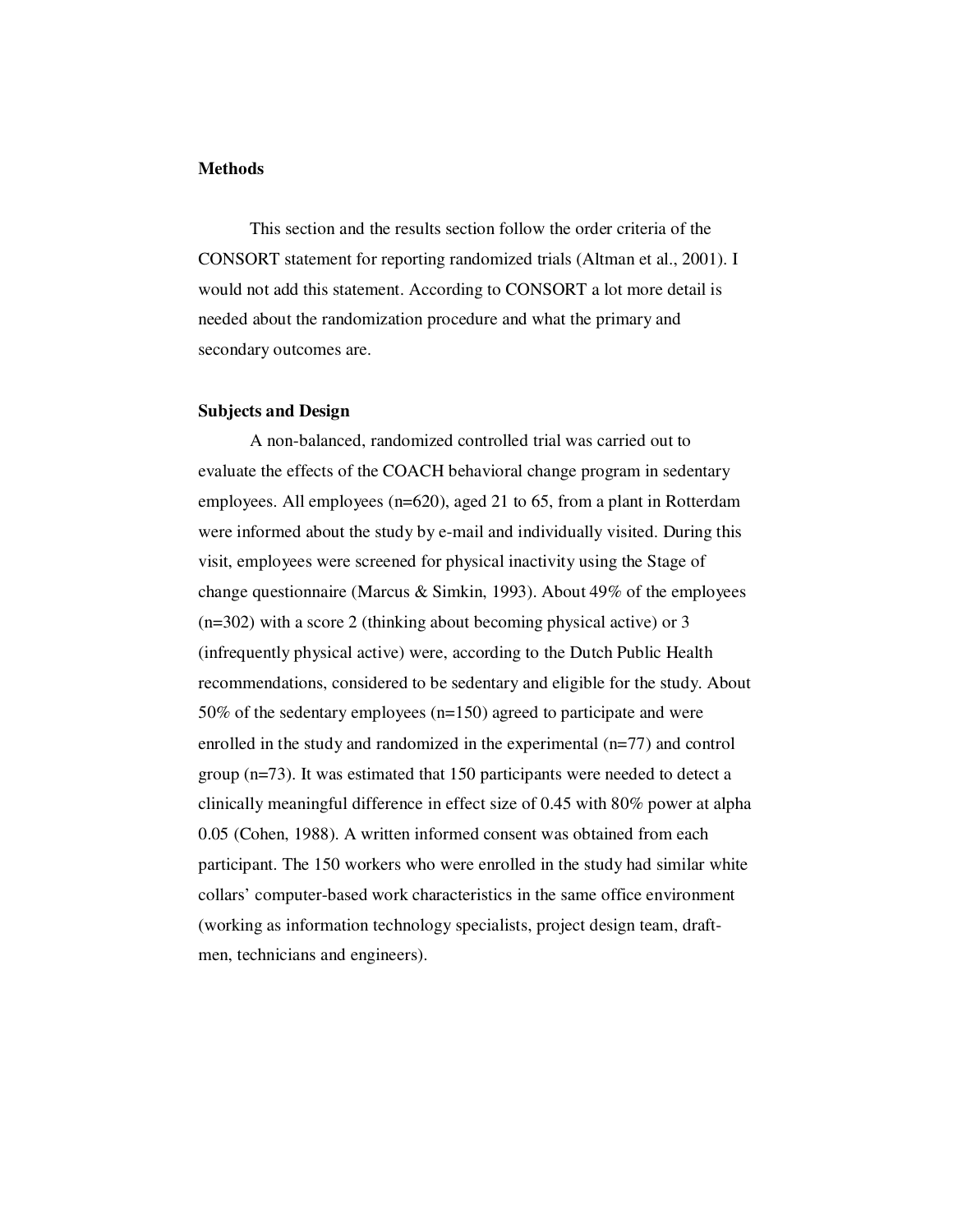#### **Methods**

This section and the results section follow the order criteria of the CONSORT statement for reporting randomized trials (Altman et al., 2001). I would not add this statement. According to CONSORT a lot more detail is needed about the randomization procedure and what the primary and secondary outcomes are.

#### **Subjects and Design**

A non-balanced, randomized controlled trial was carried out to evaluate the effects of the COACH behavioral change program in sedentary employees. All employees (n=620), aged 21 to 65, from a plant in Rotterdam were informed about the study by e-mail and individually visited. During this visit, employees were screened for physical inactivity using the Stage of change questionnaire (Marcus & Simkin, 1993). About 49% of the employees (n=302) with a score 2 (thinking about becoming physical active) or 3 (infrequently physical active) were, according to the Dutch Public Health recommendations, considered to be sedentary and eligible for the study. About 50% of the sedentary employees (n=150) agreed to participate and were enrolled in the study and randomized in the experimental (n=77) and control group (n=73). It was estimated that 150 participants were needed to detect a clinically meaningful difference in effect size of 0.45 with 80% power at alpha 0.05 (Cohen, 1988). A written informed consent was obtained from each participant. The 150 workers who were enrolled in the study had similar white collars' computer-based work characteristics in the same office environment (working as information technology specialists, project design team, draftmen, technicians and engineers).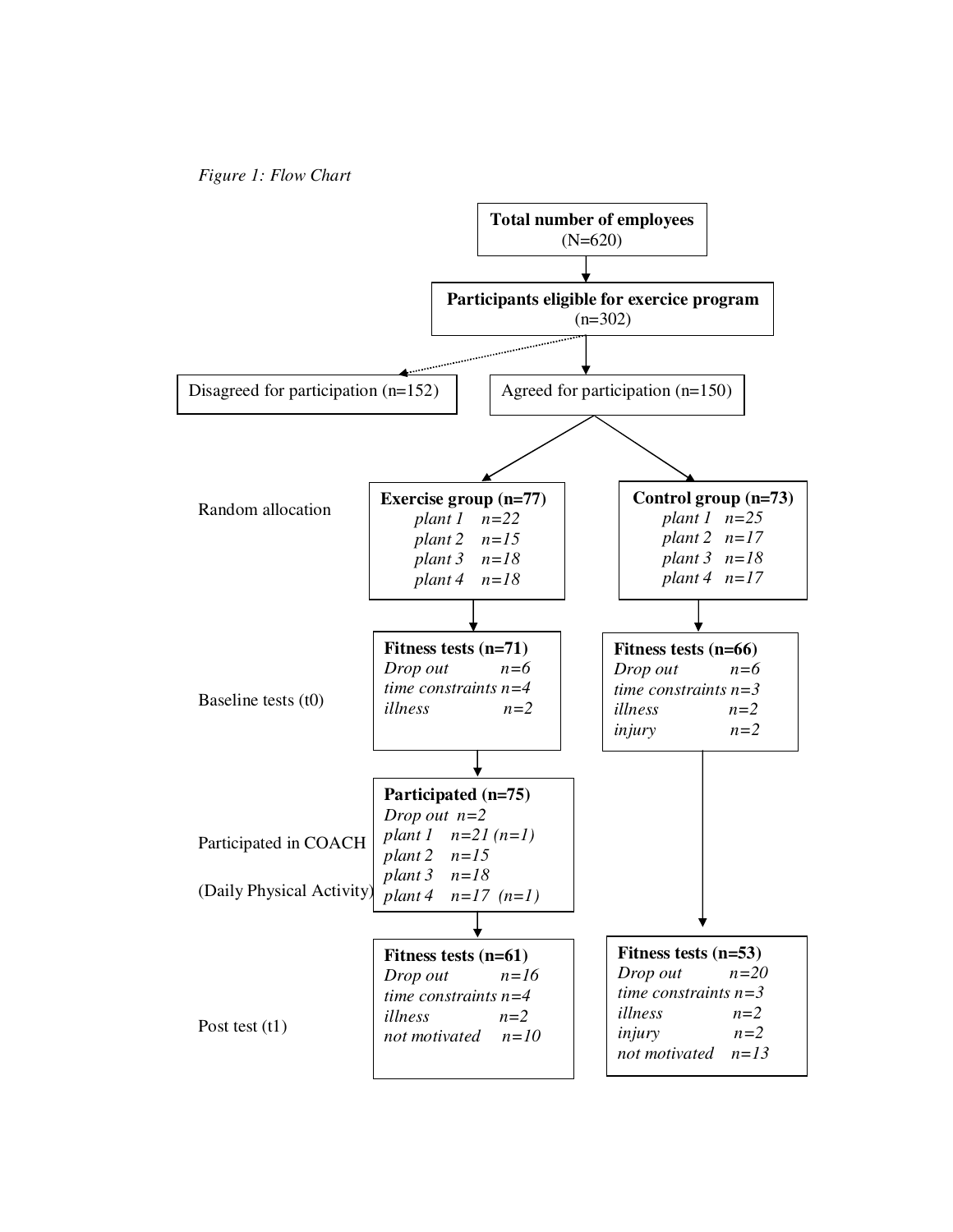

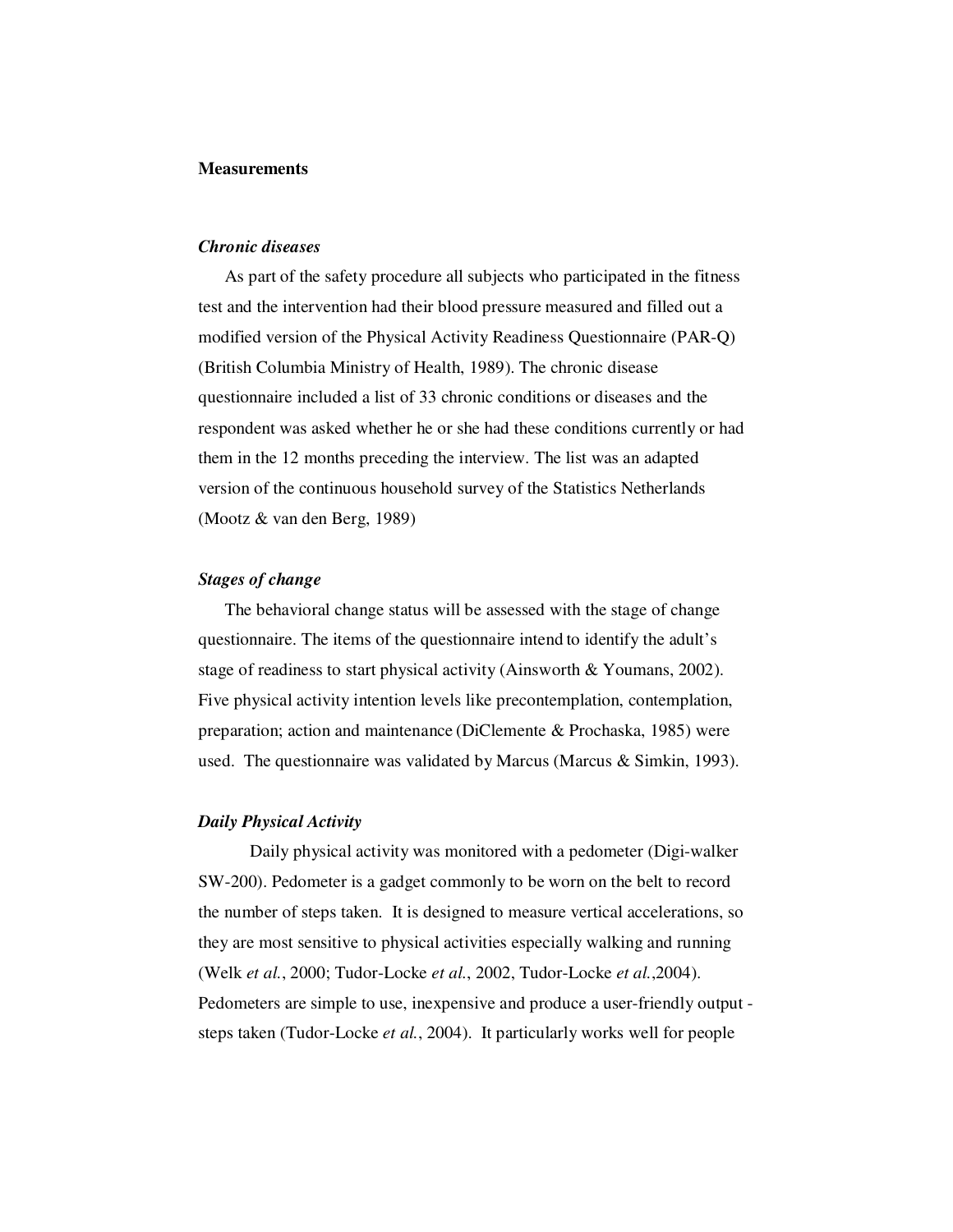#### **Measurements**

#### *Chronic diseases*

 As part of the safety procedure all subjects who participated in the fitness test and the intervention had their blood pressure measured and filled out a modified version of the Physical Activity Readiness Questionnaire (PAR-Q) (British Columbia Ministry of Health, 1989). The chronic disease questionnaire included a list of 33 chronic conditions or diseases and the respondent was asked whether he or she had these conditions currently or had them in the 12 months preceding the interview. The list was an adapted version of the continuous household survey of the Statistics Netherlands (Mootz & van den Berg, 1989)

#### *Stages of change*

 The behavioral change status will be assessed with the stage of change questionnaire. The items of the questionnaire intend to identify the adult's stage of readiness to start physical activity (Ainsworth & Youmans, 2002). Five physical activity intention levels like precontemplation, contemplation, preparation; action and maintenance (DiClemente & Prochaska, 1985) were used. The questionnaire was validated by Marcus (Marcus & Simkin, 1993).

#### *Daily Physical Activity*

Daily physical activity was monitored with a pedometer (Digi-walker SW-200). Pedometer is a gadget commonly to be worn on the belt to record the number of steps taken. It is designed to measure vertical accelerations, so they are most sensitive to physical activities especially walking and running (Welk *et al.*, 2000; Tudor-Locke *et al.*, 2002, Tudor-Locke *et al.*,2004). Pedometers are simple to use, inexpensive and produce a user-friendly output steps taken (Tudor-Locke *et al.*, 2004). It particularly works well for people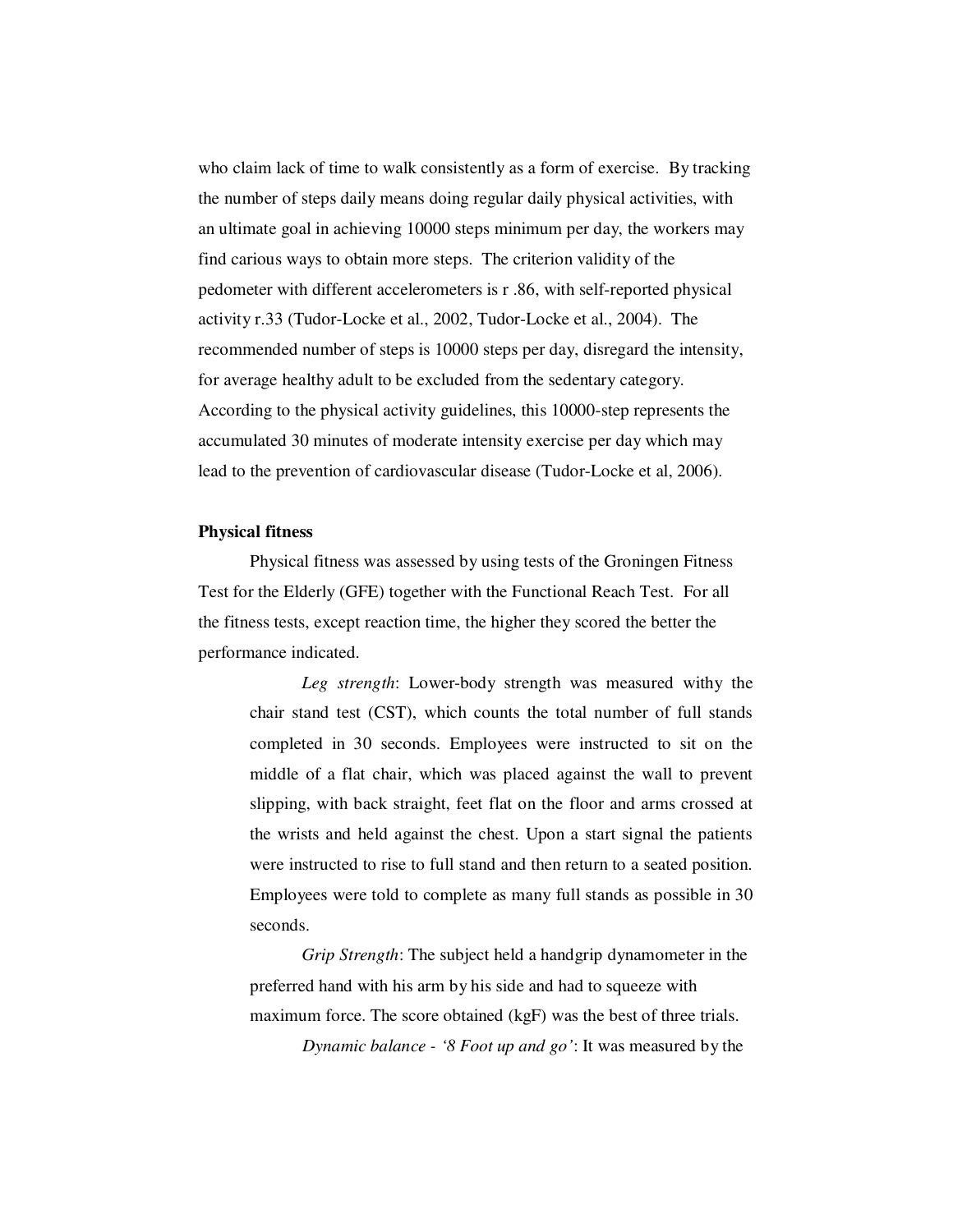who claim lack of time to walk consistently as a form of exercise. By tracking the number of steps daily means doing regular daily physical activities, with an ultimate goal in achieving 10000 steps minimum per day, the workers may find carious ways to obtain more steps. The criterion validity of the pedometer with different accelerometers is r .86, with self-reported physical activity r.33 (Tudor-Locke et al., 2002, Tudor-Locke et al., 2004). The recommended number of steps is 10000 steps per day, disregard the intensity, for average healthy adult to be excluded from the sedentary category. According to the physical activity guidelines, this 10000-step represents the accumulated 30 minutes of moderate intensity exercise per day which may lead to the prevention of cardiovascular disease (Tudor-Locke et al, 2006).

#### **Physical fitness**

Physical fitness was assessed by using tests of the Groningen Fitness Test for the Elderly (GFE) together with the Functional Reach Test. For all the fitness tests, except reaction time, the higher they scored the better the performance indicated.

*Leg strength*: Lower-body strength was measured withy the chair stand test (CST), which counts the total number of full stands completed in 30 seconds. Employees were instructed to sit on the middle of a flat chair, which was placed against the wall to prevent slipping, with back straight, feet flat on the floor and arms crossed at the wrists and held against the chest. Upon a start signal the patients were instructed to rise to full stand and then return to a seated position. Employees were told to complete as many full stands as possible in 30 seconds.

*Grip Strength*: The subject held a handgrip dynamometer in the preferred hand with his arm by his side and had to squeeze with maximum force. The score obtained (kgF) was the best of three trials. *Dynamic balance - '8 Foot up and go'*: It was measured by the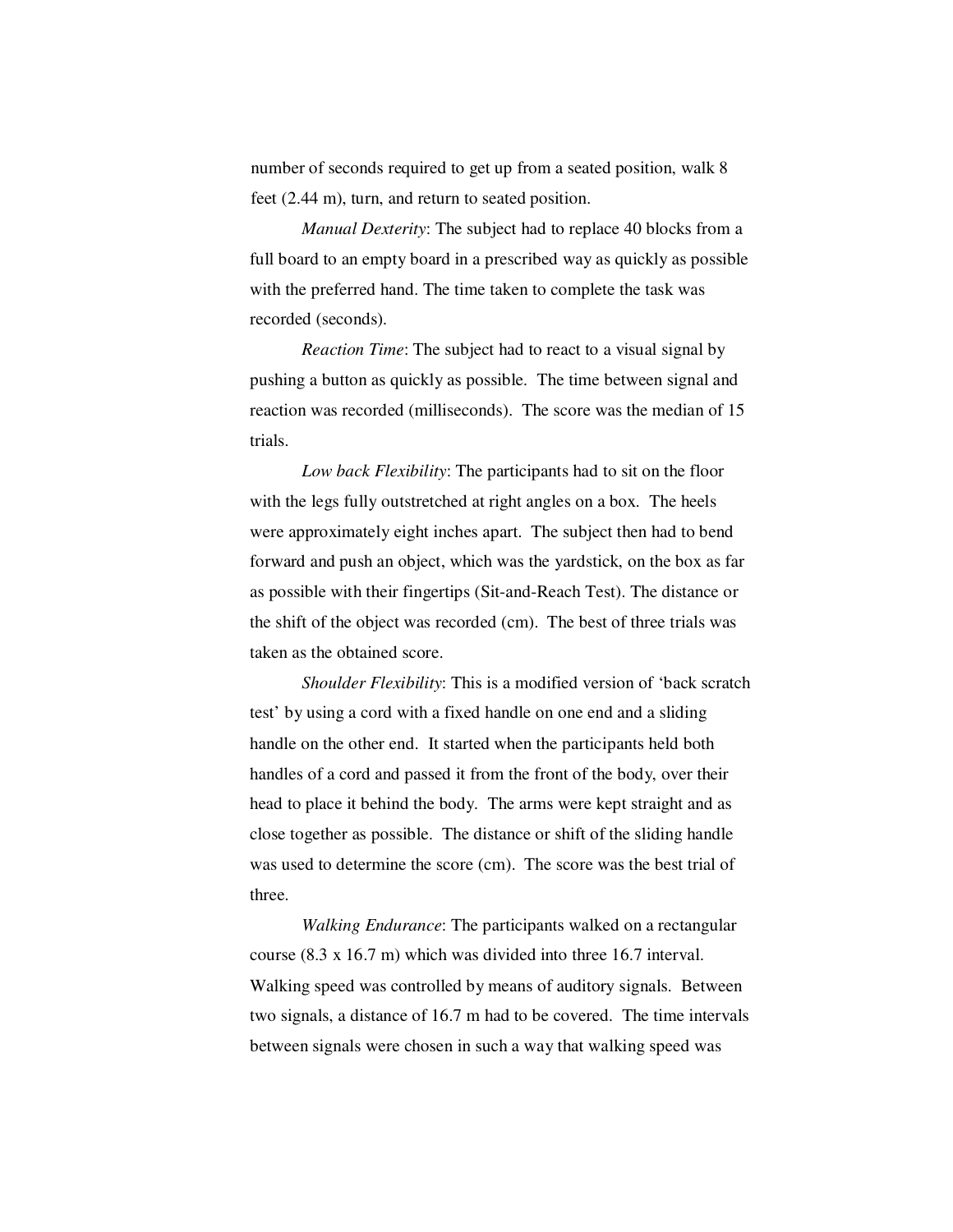number of seconds required to get up from a seated position, walk 8 feet (2.44 m), turn, and return to seated position.

*Manual Dexterity*: The subject had to replace 40 blocks from a full board to an empty board in a prescribed way as quickly as possible with the preferred hand. The time taken to complete the task was recorded (seconds).

*Reaction Time*: The subject had to react to a visual signal by pushing a button as quickly as possible. The time between signal and reaction was recorded (milliseconds). The score was the median of 15 trials.

*Low back Flexibility*: The participants had to sit on the floor with the legs fully outstretched at right angles on a box. The heels were approximately eight inches apart. The subject then had to bend forward and push an object, which was the yardstick, on the box as far as possible with their fingertips (Sit-and-Reach Test). The distance or the shift of the object was recorded (cm). The best of three trials was taken as the obtained score.

*Shoulder Flexibility*: This is a modified version of 'back scratch test' by using a cord with a fixed handle on one end and a sliding handle on the other end. It started when the participants held both handles of a cord and passed it from the front of the body, over their head to place it behind the body. The arms were kept straight and as close together as possible. The distance or shift of the sliding handle was used to determine the score (cm). The score was the best trial of three.

*Walking Endurance*: The participants walked on a rectangular course (8.3 x 16.7 m) which was divided into three 16.7 interval. Walking speed was controlled by means of auditory signals. Between two signals, a distance of 16.7 m had to be covered. The time intervals between signals were chosen in such a way that walking speed was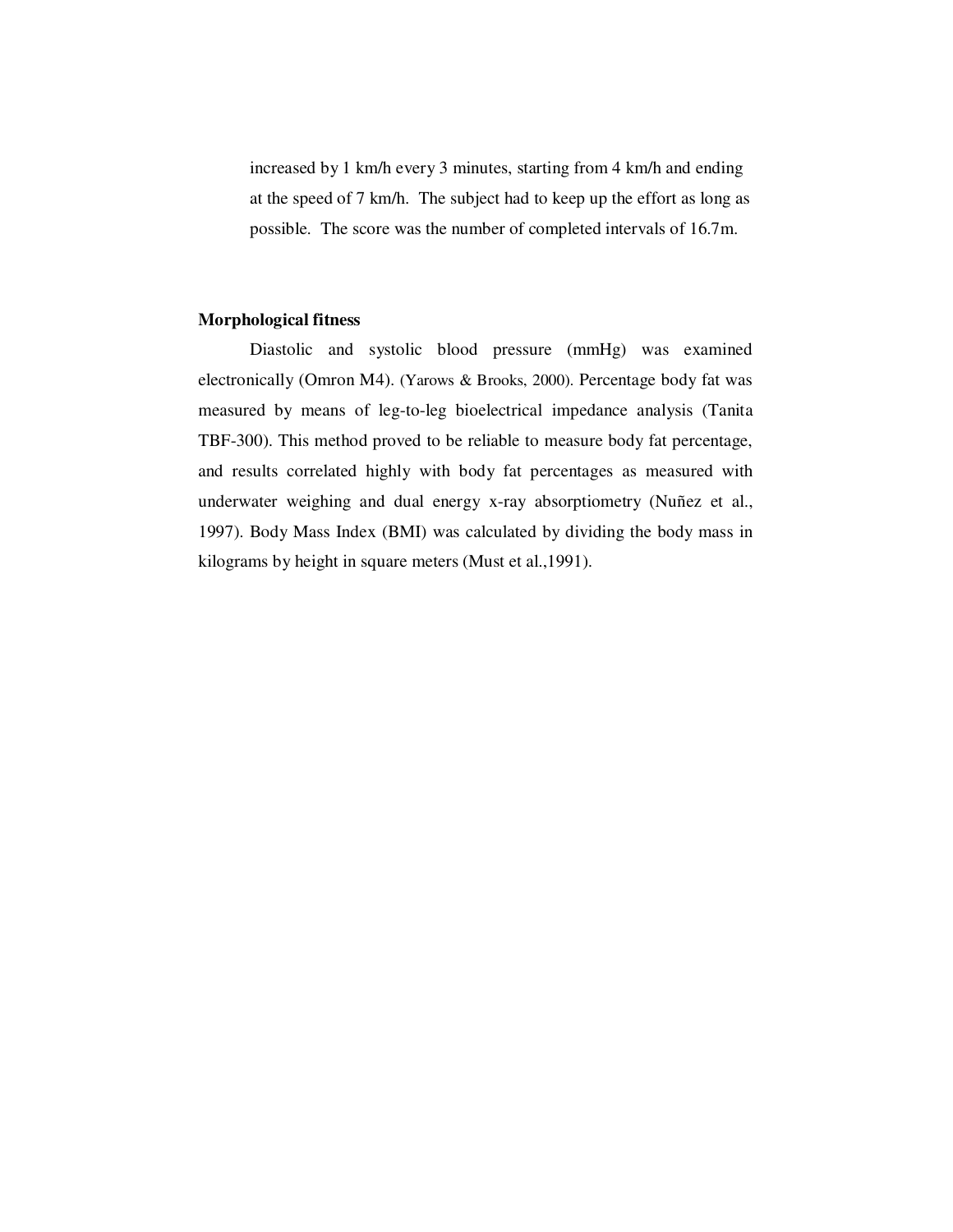increased by 1 km/h every 3 minutes, starting from 4 km/h and ending at the speed of 7 km/h. The subject had to keep up the effort as long as possible. The score was the number of completed intervals of 16.7m.

#### **Morphological fitness**

Diastolic and systolic blood pressure (mmHg) was examined electronically (Omron M4). (Yarows & Brooks, 2000). Percentage body fat was measured by means of leg-to-leg bioelectrical impedance analysis (Tanita TBF-300). This method proved to be reliable to measure body fat percentage, and results correlated highly with body fat percentages as measured with underwater weighing and dual energy x-ray absorptiometry (Nuñez et al., 1997). Body Mass Index (BMI) was calculated by dividing the body mass in kilograms by height in square meters (Must et al.,1991).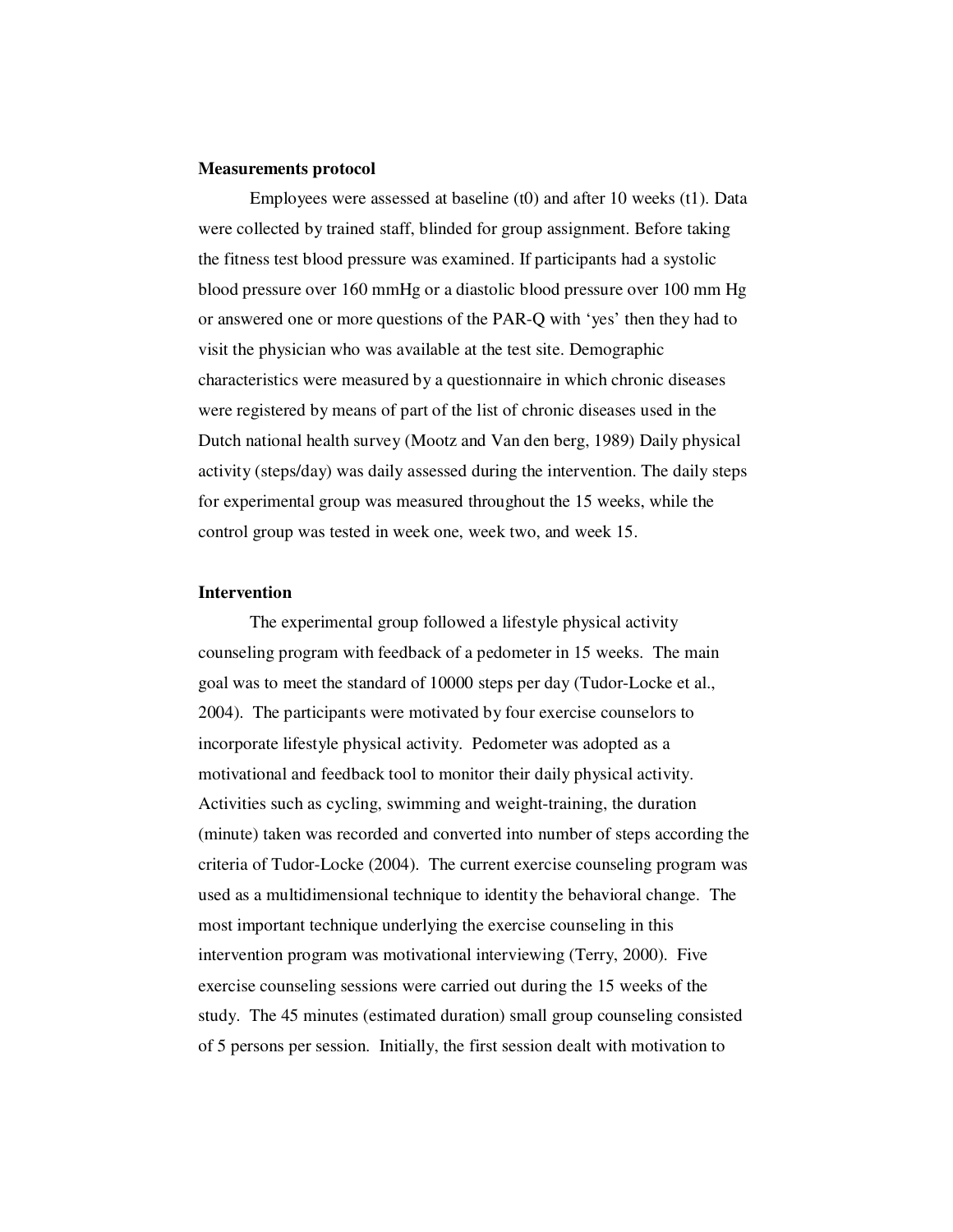#### **Measurements protocol**

Employees were assessed at baseline (t0) and after 10 weeks (t1). Data were collected by trained staff, blinded for group assignment. Before taking the fitness test blood pressure was examined. If participants had a systolic blood pressure over 160 mmHg or a diastolic blood pressure over 100 mm Hg or answered one or more questions of the PAR-Q with 'yes' then they had to visit the physician who was available at the test site. Demographic characteristics were measured by a questionnaire in which chronic diseases were registered by means of part of the list of chronic diseases used in the Dutch national health survey (Mootz and Van den berg, 1989) Daily physical activity (steps/day) was daily assessed during the intervention. The daily steps for experimental group was measured throughout the 15 weeks, while the control group was tested in week one, week two, and week 15.

#### **Intervention**

The experimental group followed a lifestyle physical activity counseling program with feedback of a pedometer in 15 weeks. The main goal was to meet the standard of 10000 steps per day (Tudor-Locke et al., 2004). The participants were motivated by four exercise counselors to incorporate lifestyle physical activity. Pedometer was adopted as a motivational and feedback tool to monitor their daily physical activity. Activities such as cycling, swimming and weight-training, the duration (minute) taken was recorded and converted into number of steps according the criteria of Tudor-Locke (2004). The current exercise counseling program was used as a multidimensional technique to identity the behavioral change. The most important technique underlying the exercise counseling in this intervention program was motivational interviewing (Terry, 2000). Five exercise counseling sessions were carried out during the 15 weeks of the study. The 45 minutes (estimated duration) small group counseling consisted of 5 persons per session. Initially, the first session dealt with motivation to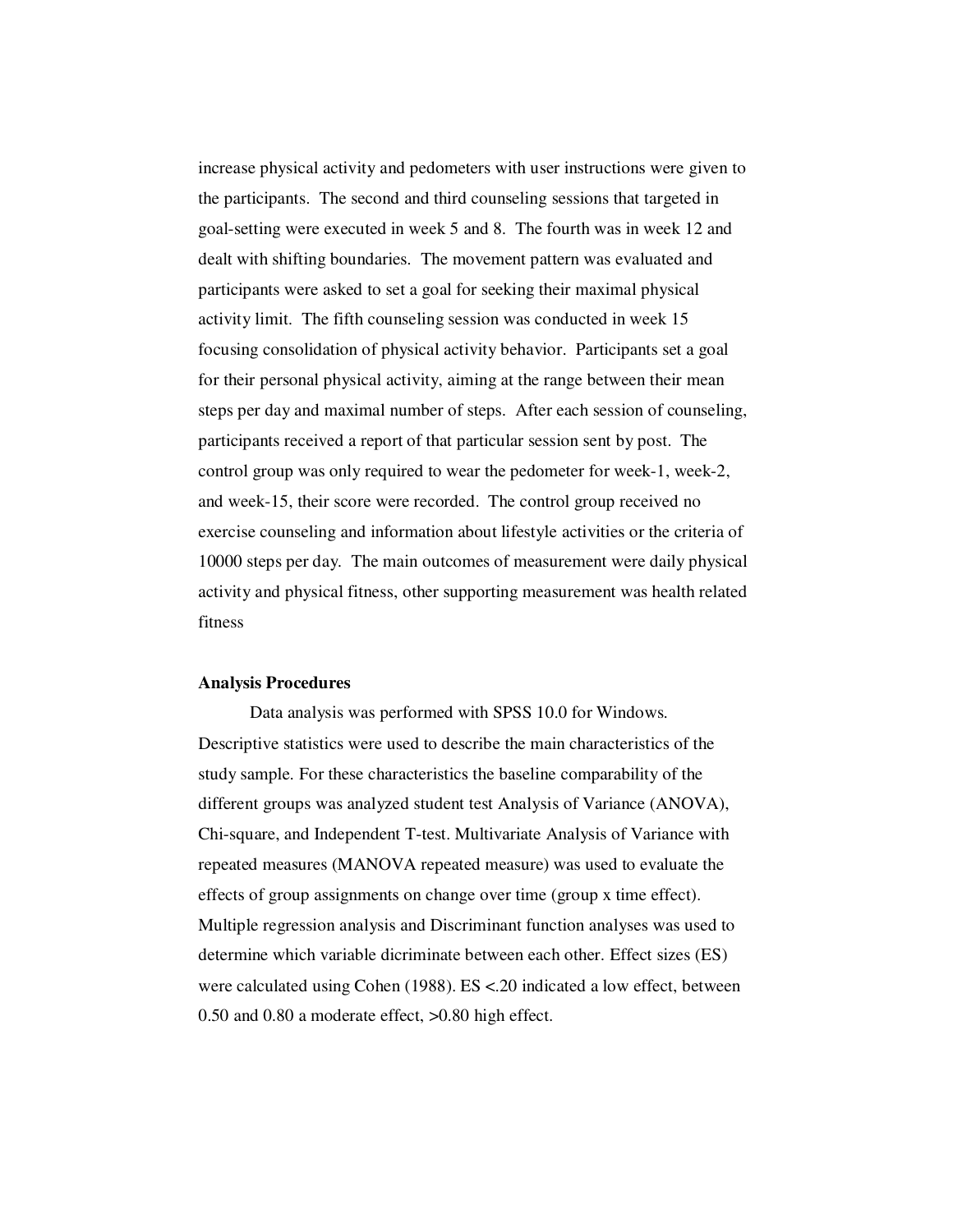increase physical activity and pedometers with user instructions were given to the participants. The second and third counseling sessions that targeted in goal-setting were executed in week 5 and 8. The fourth was in week 12 and dealt with shifting boundaries. The movement pattern was evaluated and participants were asked to set a goal for seeking their maximal physical activity limit. The fifth counseling session was conducted in week 15 focusing consolidation of physical activity behavior. Participants set a goal for their personal physical activity, aiming at the range between their mean steps per day and maximal number of steps. After each session of counseling, participants received a report of that particular session sent by post. The control group was only required to wear the pedometer for week-1, week-2, and week-15, their score were recorded. The control group received no exercise counseling and information about lifestyle activities or the criteria of 10000 steps per day. The main outcomes of measurement were daily physical activity and physical fitness, other supporting measurement was health related fitness

#### **Analysis Procedures**

Data analysis was performed with SPSS 10.0 for Windows. Descriptive statistics were used to describe the main characteristics of the study sample. For these characteristics the baseline comparability of the different groups was analyzed student test Analysis of Variance (ANOVA), Chi-square, and Independent T-test. Multivariate Analysis of Variance with repeated measures (MANOVA repeated measure) was used to evaluate the effects of group assignments on change over time (group x time effect). Multiple regression analysis and Discriminant function analyses was used to determine which variable dicriminate between each other. Effect sizes (ES) were calculated using Cohen (1988). ES <.20 indicated a low effect, between 0.50 and 0.80 a moderate effect, >0.80 high effect.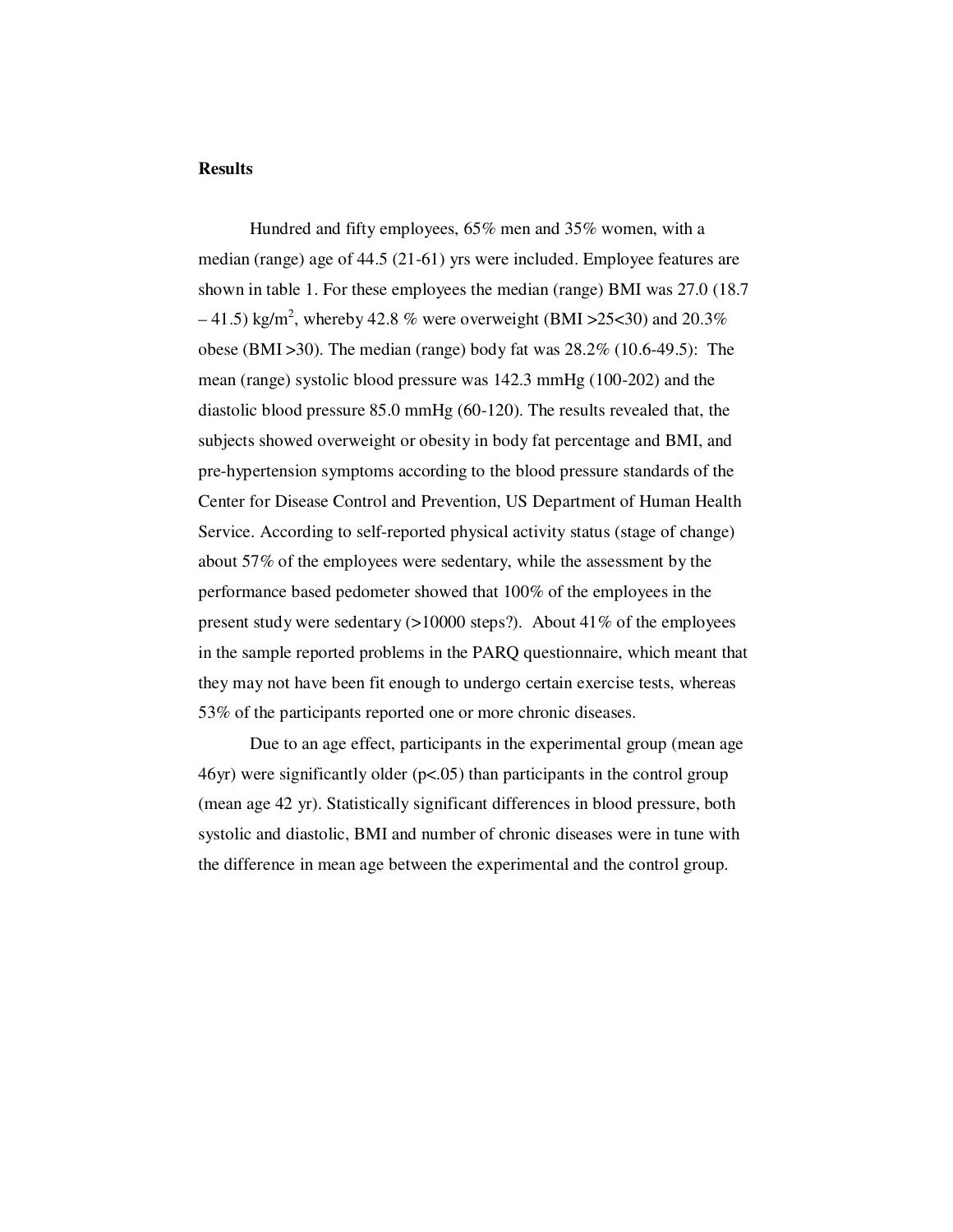#### **Results**

Hundred and fifty employees, 65% men and 35% women, with a median (range) age of 44.5 (21-61) yrs were included. Employee features are shown in table 1. For these employees the median (range) BMI was 27.0 (18.7  $-41.5$ ) kg/m<sup>2</sup>, whereby 42.8 % were overweight (BMI > 25 < 30) and 20.3% obese (BMI >30). The median (range) body fat was 28.2% (10.6-49.5): The mean (range) systolic blood pressure was 142.3 mmHg (100-202) and the diastolic blood pressure 85.0 mmHg (60-120). The results revealed that, the subjects showed overweight or obesity in body fat percentage and BMI, and pre-hypertension symptoms according to the blood pressure standards of the Center for Disease Control and Prevention, US Department of Human Health Service. According to self-reported physical activity status (stage of change) about 57% of the employees were sedentary, while the assessment by the performance based pedometer showed that 100% of the employees in the present study were sedentary  $(>10000$  steps?). About 41% of the employees in the sample reported problems in the PARQ questionnaire, which meant that they may not have been fit enough to undergo certain exercise tests, whereas 53% of the participants reported one or more chronic diseases.

Due to an age effect, participants in the experimental group (mean age 46yr) were significantly older (p<.05) than participants in the control group (mean age 42 yr). Statistically significant differences in blood pressure, both systolic and diastolic, BMI and number of chronic diseases were in tune with the difference in mean age between the experimental and the control group.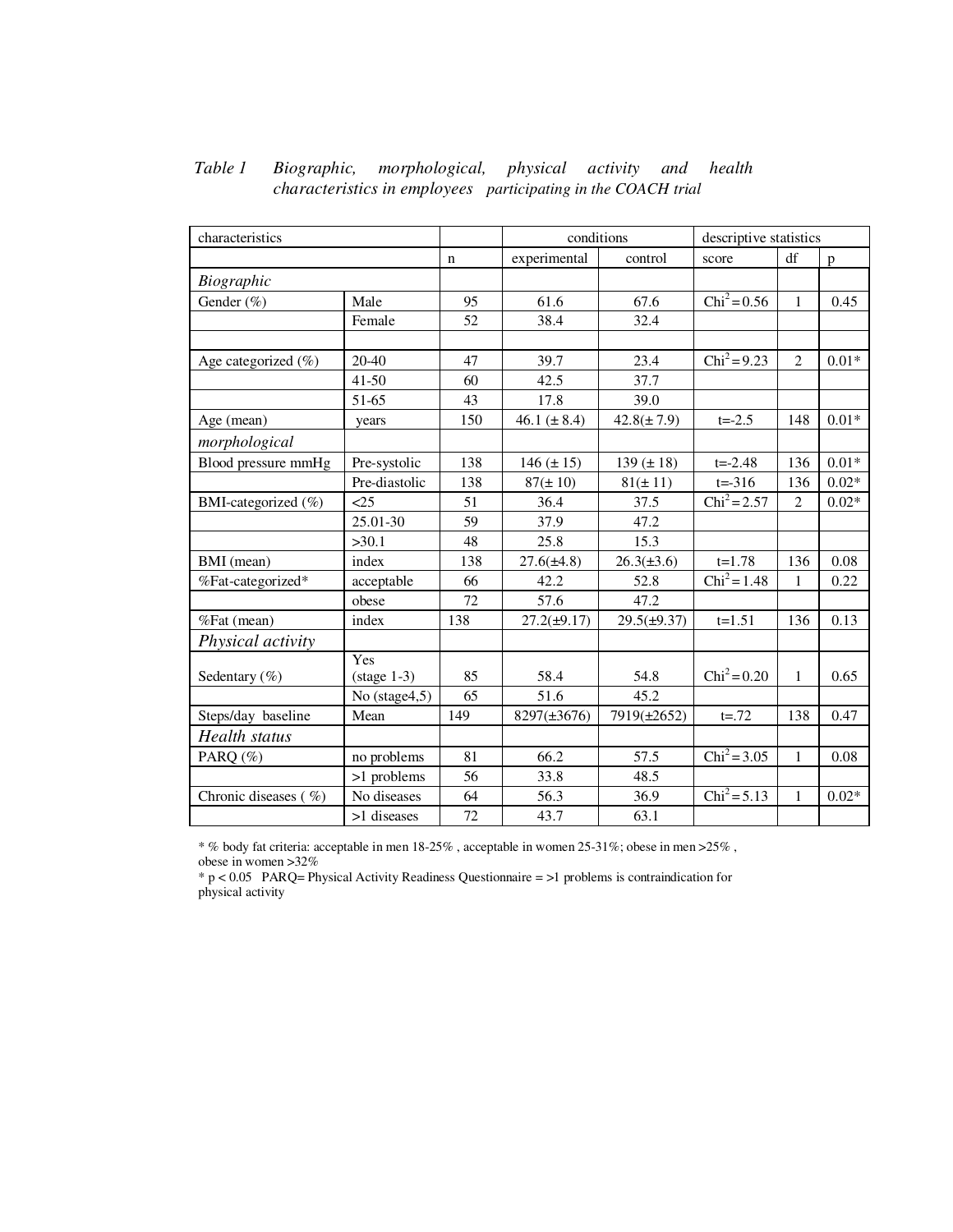| characteristics          |                       |     | conditions       |                  | descriptive statistics |                |         |  |
|--------------------------|-----------------------|-----|------------------|------------------|------------------------|----------------|---------|--|
|                          |                       | n   | experimental     | control          | score                  | df             | p       |  |
| Biographic               |                       |     |                  |                  |                        |                |         |  |
| Gender (%)               | Male                  |     | 61.6             | 67.6             | $Chi^2 = 0.56$         | $\mathbf{1}$   | 0.45    |  |
|                          | Female                | 52  | 38.4             | 32.4             |                        |                |         |  |
|                          |                       |     |                  |                  |                        |                |         |  |
| Age categorized $(\%)$   | 20-40                 | 47  | 39.7             | 23.4             | $Chi^2 = 9.23$         | $\overline{2}$ | $0.01*$ |  |
|                          | $41 - 50$             | 60  | 42.5             | 37.7             |                        |                |         |  |
|                          | 51-65                 | 43  | 17.8             | 39.0             |                        |                |         |  |
| Age (mean)               | years                 | 150 | 46.1 $(\pm 8.4)$ | $42.8(\pm 7.9)$  | $t = -2.5$             | 148            | $0.01*$ |  |
| morphological            |                       |     |                  |                  |                        |                |         |  |
| Blood pressure mmHg      | Pre-systolic          | 138 | $146 (\pm 15)$   | 139 $(\pm 18)$   | $t = -2.48$            | 136            | $0.01*$ |  |
|                          | Pre-diastolic         | 138 | $87 (\pm 10)$    | $81(\pm 11)$     | $t = -316$             | 136            | $0.02*$ |  |
| BMI-categorized (%)      | $\leq$ 25             | 51  | 36.4             | 37.5             | $Chi^2 = 2.57$         | $\overline{c}$ | $0.02*$ |  |
|                          | 25.01-30              | 59  | 37.9             | 47.2             |                        |                |         |  |
|                          | >30.1                 | 48  | 25.8             | 15.3             |                        |                |         |  |
| BMI (mean)               | index                 | 138 | $27.6(\pm 4.8)$  | $26.3(\pm 3.6)$  | $t=1.78$               | 136            | 0.08    |  |
| %Fat-categorized*        | acceptable            | 66  | 42.2             | 52.8             | $Chi^2 = 1.48$         | 1              | 0.22    |  |
|                          | obese                 | 72  | 57.6             | 47.2             |                        |                |         |  |
| %Fat (mean)              | index                 | 138 | $27.2(\pm 9.17)$ | $29.5(\pm 9.37)$ | $t=1.51$               | 136            | 0.13    |  |
| Physical activity        |                       |     |                  |                  |                        |                |         |  |
|                          | Yes                   |     |                  |                  |                        |                |         |  |
| Sedentary $(\%)$         | $(\text{stage } 1-3)$ | 85  | 58.4             | 54.8             | $Chi^2 = 0.20$         | $\mathbf{1}$   | 0.65    |  |
|                          | No (stage4,5)         | 65  | 51.6             | 45.2             |                        |                |         |  |
| Steps/day baseline       | Mean                  | 149 | 8297(±3676)      | 7919(±2652)      | $t = 72$               | 138            | 0.47    |  |
| Health status            |                       |     |                  |                  |                        |                |         |  |
| PARQ (%)                 | no problems           | 81  | 66.2             | 57.5             | $Chi^2 = 3.05$         | $\mathbf{1}$   | 0.08    |  |
|                          | >1 problems           | 56  | 33.8             | 48.5             |                        |                |         |  |
| Chronic diseases $(\% )$ | No diseases           | 64  | 56.3             | 36.9             | $Chi^2 = 5.13$         | 1              | $0.02*$ |  |
|                          | >1 diseases           | 72  | 43.7             | 63.1             |                        |                |         |  |

# *Table 1 Biographic, morphological, physical activity and health characteristics in employees participating in the COACH trial*

 $^{\ast}$  % body fat criteria: acceptable in men 18-25% , acceptable in women 25-31%; obese in men >25% , obese in women >32%

\* p < 0.05 PARQ= Physical Activity Readiness Questionnaire = >1 problems is contraindication for physical activity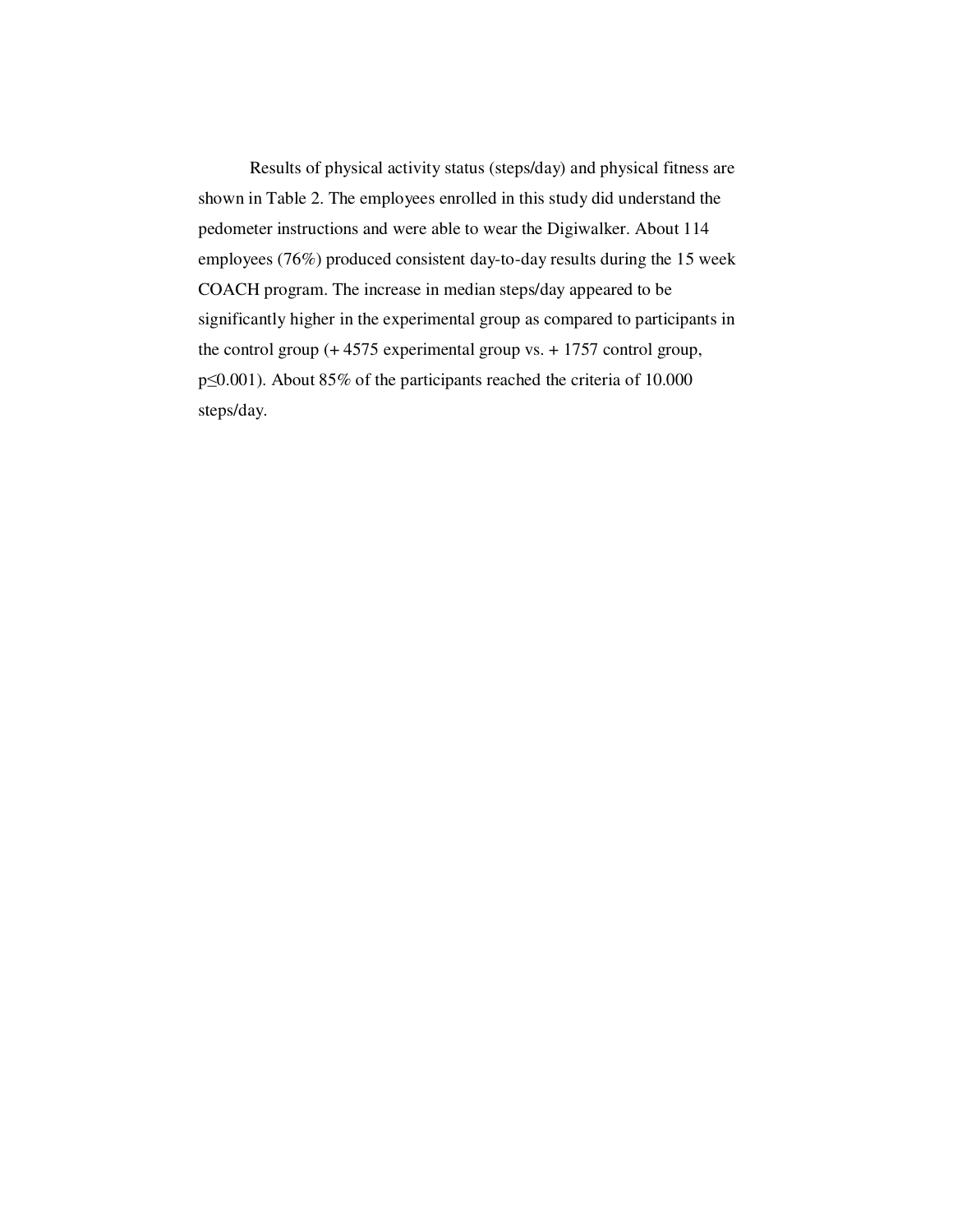Results of physical activity status (steps/day) and physical fitness are shown in Table 2. The employees enrolled in this study did understand the pedometer instructions and were able to wear the Digiwalker. About 114 employees (76%) produced consistent day-to-day results during the 15 week COACH program. The increase in median steps/day appeared to be significantly higher in the experimental group as compared to participants in the control group (+ 4575 experimental group vs. + 1757 control group, p≤0.001). About 85% of the participants reached the criteria of 10.000 steps/day.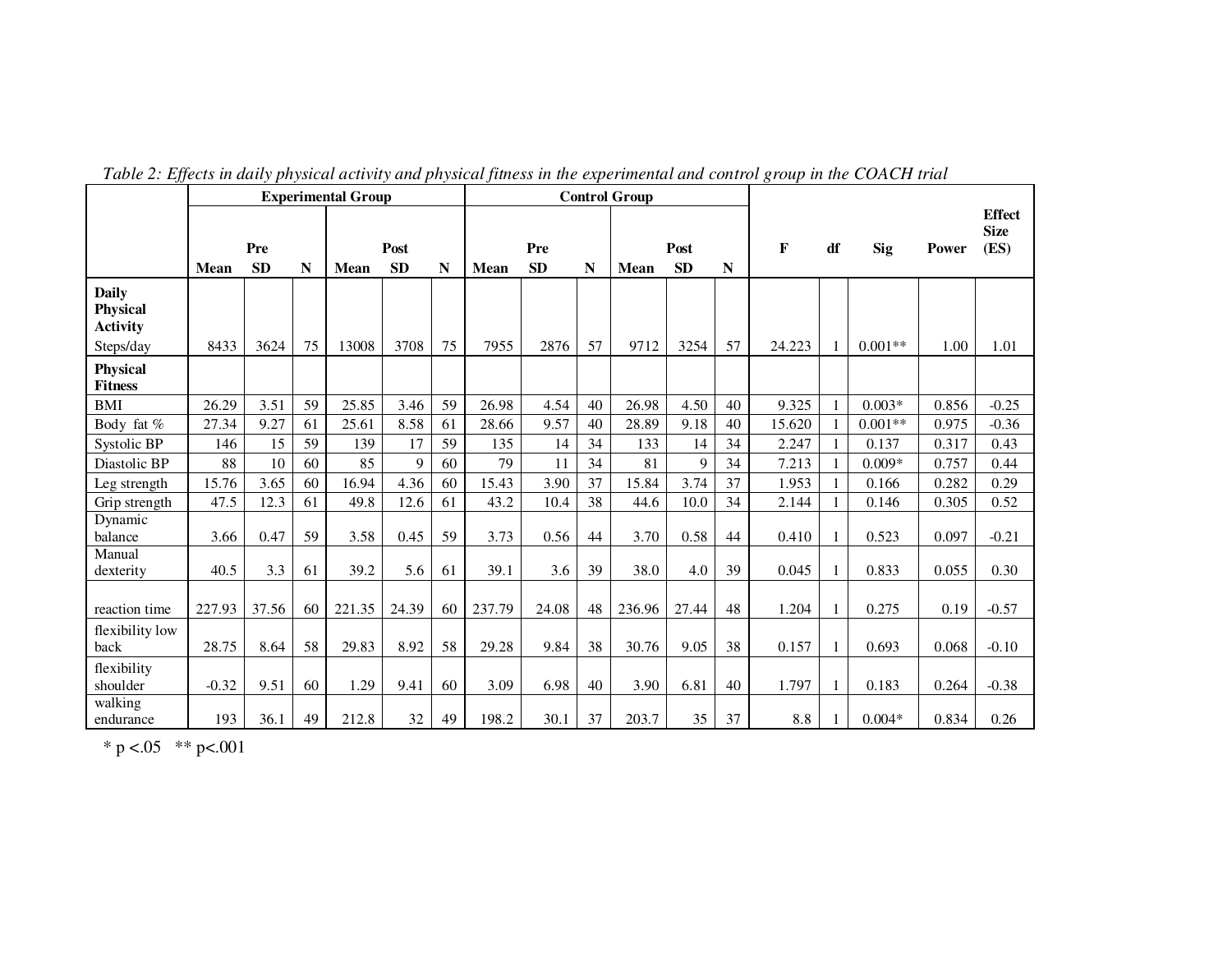|                                                    | <b>Experimental Group</b> |                  |    |             |                   | <b>Control Group</b> |             |                  |    |             |                   |    |              |              |            |       |                                      |
|----------------------------------------------------|---------------------------|------------------|----|-------------|-------------------|----------------------|-------------|------------------|----|-------------|-------------------|----|--------------|--------------|------------|-------|--------------------------------------|
|                                                    | Mean                      | Pre<br><b>SD</b> | N  | <b>Mean</b> | Post<br><b>SD</b> | N                    | <b>Mean</b> | Pre<br><b>SD</b> | N  | <b>Mean</b> | Post<br><b>SD</b> | N  | $\mathbf{F}$ | df           | <b>Sig</b> | Power | <b>Effect</b><br><b>Size</b><br>(ES) |
| <b>Daily</b><br><b>Physical</b><br><b>Activity</b> |                           |                  |    |             |                   |                      |             |                  |    |             |                   |    |              |              |            |       |                                      |
| Steps/day                                          | 8433                      | 3624             | 75 | 13008       | 3708              | 75                   | 7955        | 2876             | 57 | 9712        | 3254              | 57 | 24.223       |              | $0.001**$  | 1.00  | 1.01                                 |
| <b>Physical</b><br><b>Fitness</b>                  |                           |                  |    |             |                   |                      |             |                  |    |             |                   |    |              |              |            |       |                                      |
| <b>BMI</b>                                         | 26.29                     | 3.51             | 59 | 25.85       | 3.46              | 59                   | 26.98       | 4.54             | 40 | 26.98       | 4.50              | 40 | 9.325        | 1            | $0.003*$   | 0.856 | $-0.25$                              |
| Body fat %                                         | 27.34                     | 9.27             | 61 | 25.61       | 8.58              | 61                   | 28.66       | 9.57             | 40 | 28.89       | 9.18              | 40 | 15.620       |              | $0.001**$  | 0.975 | $-0.36$                              |
| Systolic BP                                        | 146                       | 15               | 59 | 139         | 17                | 59                   | 135         | 14               | 34 | 133         | 14                | 34 | 2.247        |              | 0.137      | 0.317 | 0.43                                 |
| Diastolic BP                                       | 88                        | 10               | 60 | 85          | 9                 | 60                   | 79          | 11               | 34 | 81          | 9                 | 34 | 7.213        |              | $0.009*$   | 0.757 | 0.44                                 |
| Leg strength                                       | 15.76                     | 3.65             | 60 | 16.94       | 4.36              | 60                   | 15.43       | 3.90             | 37 | 15.84       | 3.74              | 37 | 1.953        |              | 0.166      | 0.282 | 0.29                                 |
| Grip strength                                      | 47.5                      | 12.3             | 61 | 49.8        | 12.6              | 61                   | 43.2        | 10.4             | 38 | 44.6        | 10.0              | 34 | 2.144        |              | 0.146      | 0.305 | 0.52                                 |
| Dynamic<br>balance                                 | 3.66                      | 0.47             | 59 | 3.58        | 0.45              | 59                   | 3.73        | 0.56             | 44 | 3.70        | 0.58              | 44 | 0.410        |              | 0.523      | 0.097 | $-0.21$                              |
| Manual<br>dexterity                                | 40.5                      | 3.3              | 61 | 39.2        | 5.6               | 61                   | 39.1        | 3.6              | 39 | 38.0        | 4.0               | 39 | 0.045        | $\mathbf{1}$ | 0.833      | 0.055 | 0.30                                 |
| reaction time                                      | 227.93                    | 37.56            | 60 | 221.35      | 24.39             | 60                   | 237.79      | 24.08            | 48 | 236.96      | 27.44             | 48 | 1.204        | 1            | 0.275      | 0.19  | $-0.57$                              |
| flexibility low<br>back                            | 28.75                     | 8.64             | 58 | 29.83       | 8.92              | 58                   | 29.28       | 9.84             | 38 | 30.76       | 9.05              | 38 | 0.157        |              | 0.693      | 0.068 | $-0.10$                              |
| flexibility<br>shoulder                            | $-0.32$                   | 9.51             | 60 | 1.29        | 9.41              | 60                   | 3.09        | 6.98             | 40 | 3.90        | 6.81              | 40 | 1.797        | 1            | 0.183      | 0.264 | $-0.38$                              |
| walking<br>endurance                               | 193                       | 36.1             | 49 | 212.8       | 32                | 49                   | 198.2       | 30.1             | 37 | 203.7       | 35                | 37 | 8.8          |              | $0.004*$   | 0.834 | 0.26                                 |

*Table 2: Effects in daily physical activity and physical fitness in the experimental and control group in the COACH trial* 

\* p <.05 \*\* p <.001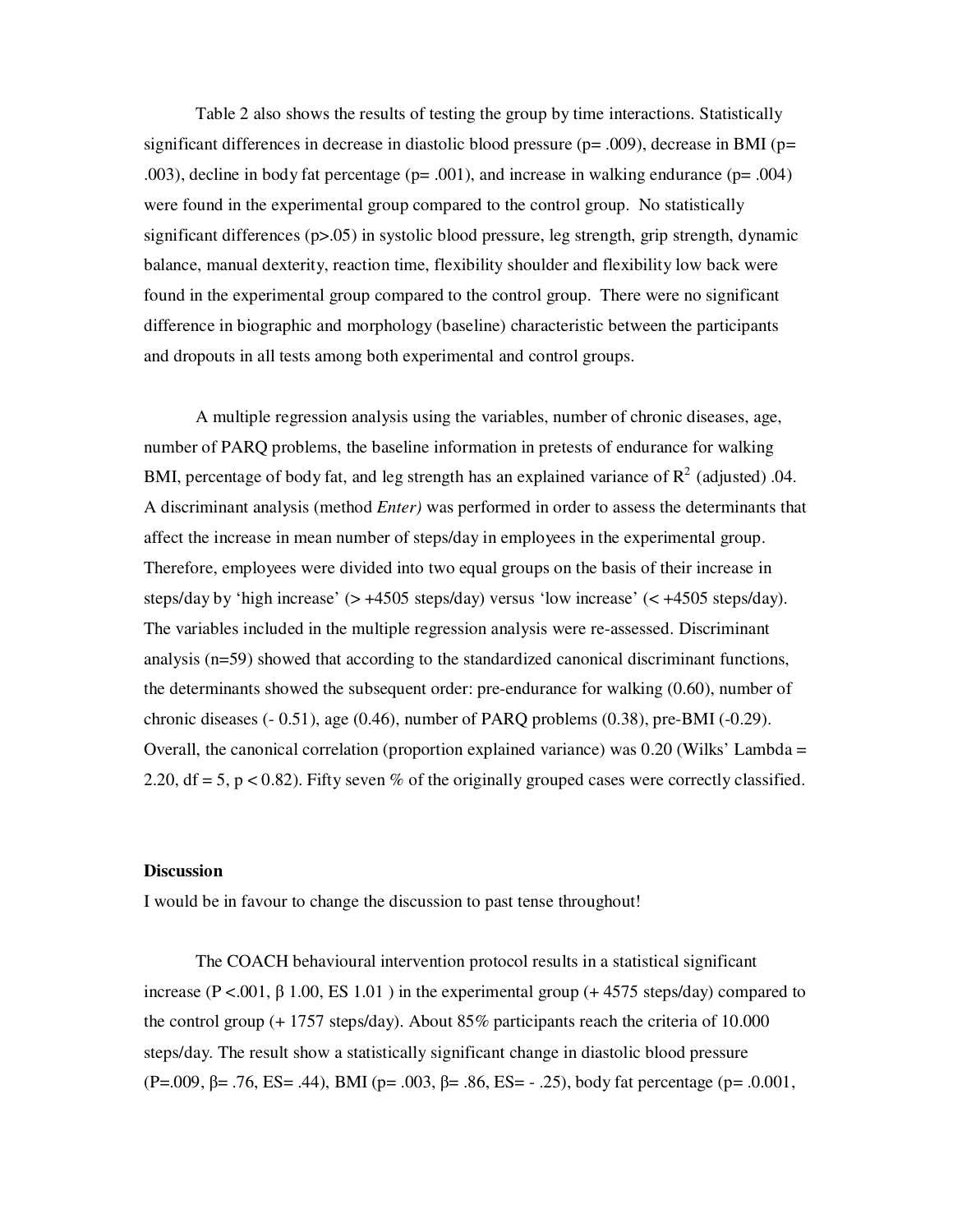Table 2 also shows the results of testing the group by time interactions. Statistically significant differences in decrease in diastolic blood pressure ( $p=$  .009), decrease in BMI ( $p=$ .003), decline in body fat percentage (p= .001), and increase in walking endurance (p= .004) were found in the experimental group compared to the control group. No statistically significant differences (p>.05) in systolic blood pressure, leg strength, grip strength, dynamic balance, manual dexterity, reaction time, flexibility shoulder and flexibility low back were found in the experimental group compared to the control group. There were no significant difference in biographic and morphology (baseline) characteristic between the participants and dropouts in all tests among both experimental and control groups.

A multiple regression analysis using the variables, number of chronic diseases, age, number of PARQ problems, the baseline information in pretests of endurance for walking BMI, percentage of body fat, and leg strength has an explained variance of  $R^2$  (adjusted) .04. A discriminant analysis (method *Enter)* was performed in order to assess the determinants that affect the increase in mean number of steps/day in employees in the experimental group. Therefore, employees were divided into two equal groups on the basis of their increase in steps/day by 'high increase' (> +4505 steps/day) versus 'low increase' (< +4505 steps/day). The variables included in the multiple regression analysis were re-assessed. Discriminant analysis (n=59) showed that according to the standardized canonical discriminant functions, the determinants showed the subsequent order: pre-endurance for walking (0.60), number of chronic diseases (- 0.51), age (0.46), number of PARQ problems (0.38), pre-BMI (-0.29). Overall, the canonical correlation (proportion explained variance) was  $0.20$  (Wilks' Lambda = 2.20, df = 5, p < 0.82). Fifty seven % of the originally grouped cases were correctly classified.

#### **Discussion**

I would be in favour to change the discussion to past tense throughout!

The COACH behavioural intervention protocol results in a statistical significant increase ( $P < .001$ ,  $\beta$  1.00, ES 1.01) in the experimental group (+4575 steps/day) compared to the control group  $(+ 1757$  steps/day). About 85% participants reach the criteria of 10.000 steps/day. The result show a statistically significant change in diastolic blood pressure (P=.009, β= .76, ES= .44), BMI (p= .003, β= .86, ES= - .25), body fat percentage (p= .0.001,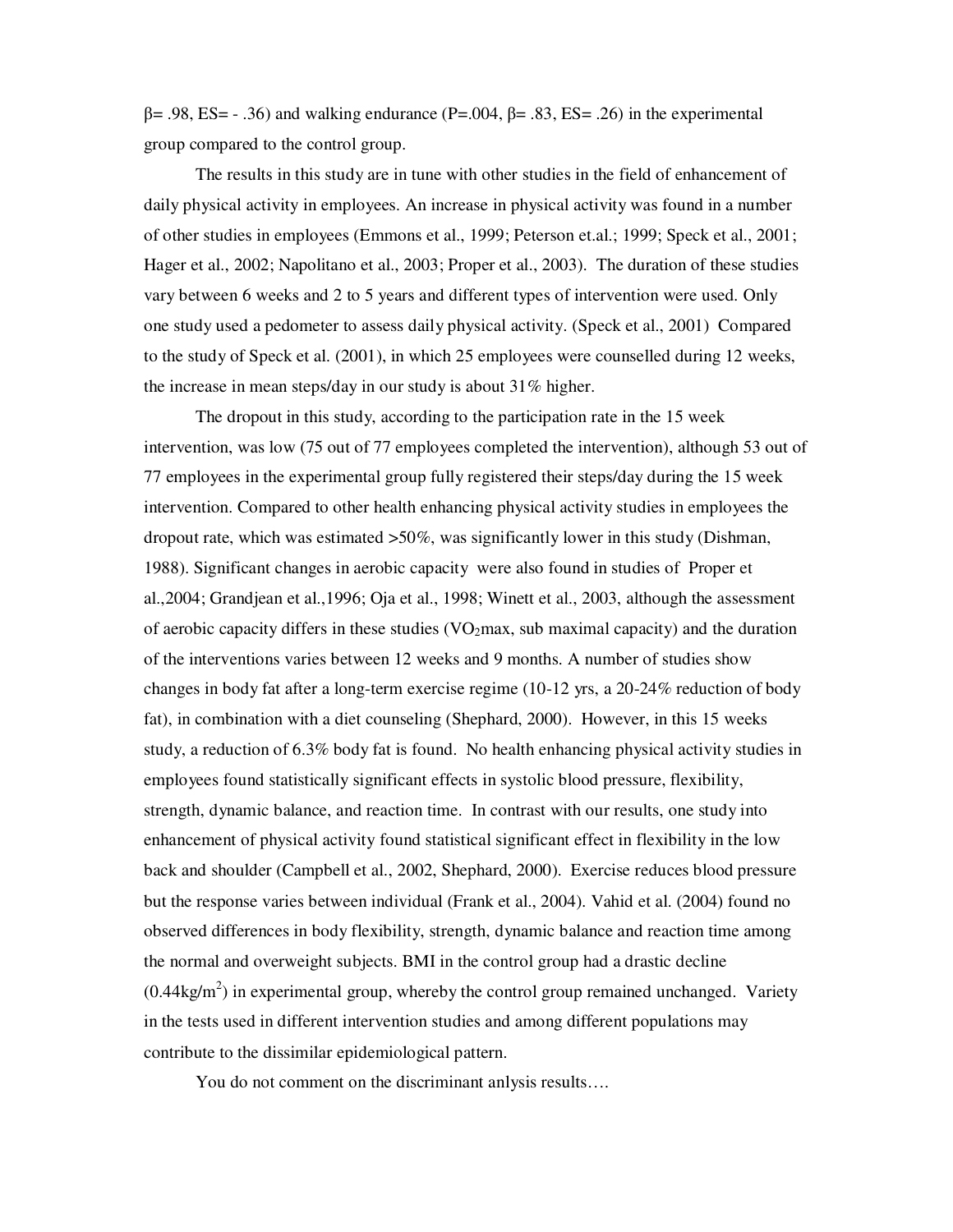$β = .98$ , ES =  $-.36$ ) and walking endurance (P=.004,  $β = .83$ , ES = .26) in the experimental group compared to the control group.

The results in this study are in tune with other studies in the field of enhancement of daily physical activity in employees. An increase in physical activity was found in a number of other studies in employees (Emmons et al., 1999; Peterson et.al.; 1999; Speck et al., 2001; Hager et al., 2002; Napolitano et al., 2003; Proper et al., 2003). The duration of these studies vary between 6 weeks and 2 to 5 years and different types of intervention were used. Only one study used a pedometer to assess daily physical activity. (Speck et al., 2001) Compared to the study of Speck et al. (2001), in which 25 employees were counselled during 12 weeks, the increase in mean steps/day in our study is about 31% higher.

The dropout in this study, according to the participation rate in the 15 week intervention, was low (75 out of 77 employees completed the intervention), although 53 out of 77 employees in the experimental group fully registered their steps/day during the 15 week intervention. Compared to other health enhancing physical activity studies in employees the dropout rate, which was estimated >50%, was significantly lower in this study (Dishman, 1988). Significant changes in aerobic capacity were also found in studies of Proper et al.,2004; Grandjean et al.,1996; Oja et al., 1998; Winett et al., 2003, although the assessment of aerobic capacity differs in these studies ( $VO<sub>2</sub>max$ , sub maximal capacity) and the duration of the interventions varies between 12 weeks and 9 months. A number of studies show changes in body fat after a long-term exercise regime (10-12 yrs, a 20-24% reduction of body fat), in combination with a diet counseling (Shephard, 2000). However, in this 15 weeks study, a reduction of 6.3% body fat is found. No health enhancing physical activity studies in employees found statistically significant effects in systolic blood pressure, flexibility, strength, dynamic balance, and reaction time. In contrast with our results, one study into enhancement of physical activity found statistical significant effect in flexibility in the low back and shoulder (Campbell et al., 2002, Shephard, 2000). Exercise reduces blood pressure but the response varies between individual (Frank et al., 2004). Vahid et al. (2004) found no observed differences in body flexibility, strength, dynamic balance and reaction time among the normal and overweight subjects. BMI in the control group had a drastic decline  $(0.44\text{kg/m}^2)$  in experimental group, whereby the control group remained unchanged. Variety in the tests used in different intervention studies and among different populations may contribute to the dissimilar epidemiological pattern.

You do not comment on the discriminant anlysis results….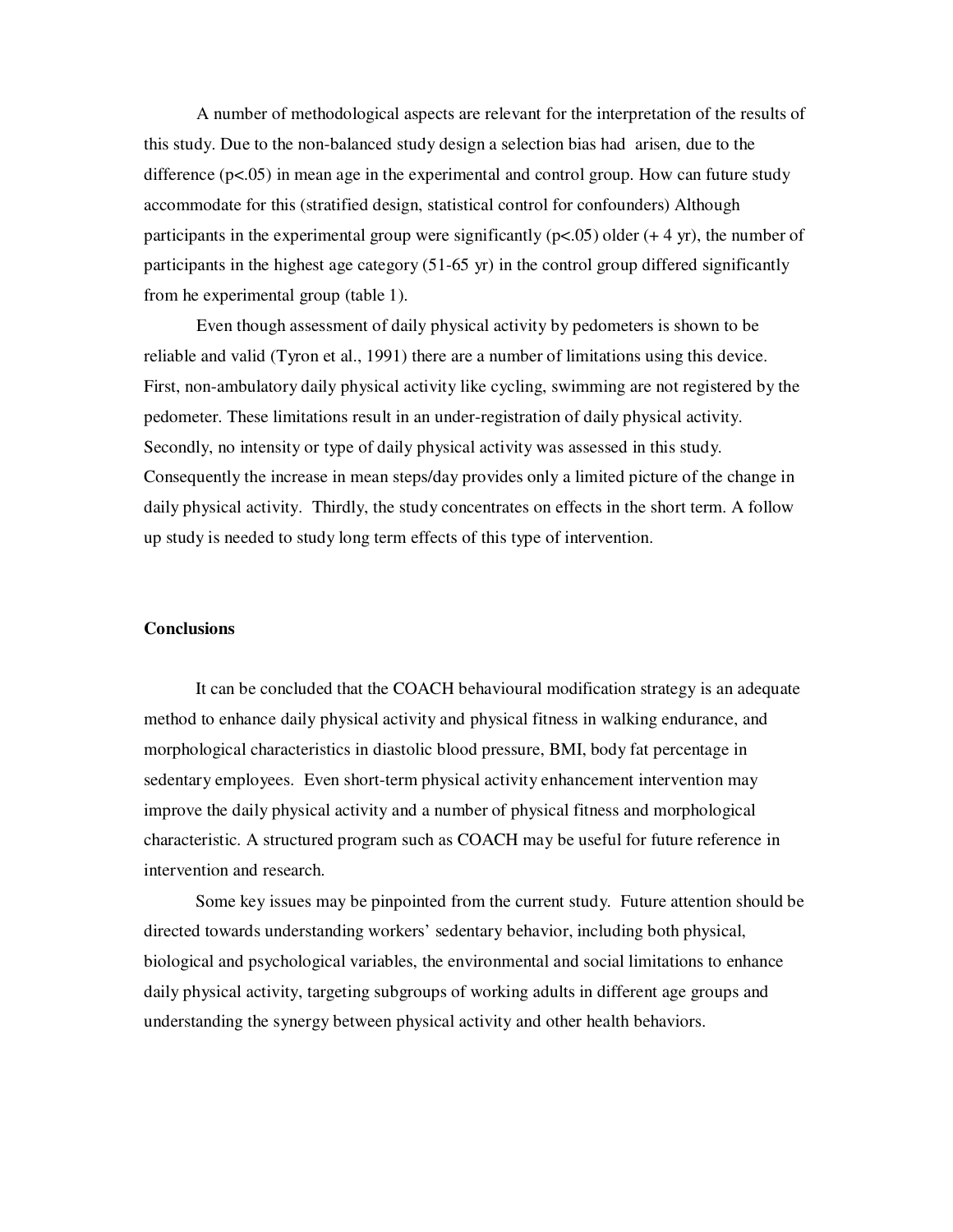A number of methodological aspects are relevant for the interpretation of the results of this study. Due to the non-balanced study design a selection bias had arisen, due to the difference  $(p<.05)$  in mean age in the experimental and control group. How can future study accommodate for this (stratified design, statistical control for confounders) Although participants in the experimental group were significantly  $(p<.05)$  older  $(+ 4 \text{ yr})$ , the number of participants in the highest age category (51-65 yr) in the control group differed significantly from he experimental group (table 1).

Even though assessment of daily physical activity by pedometers is shown to be reliable and valid (Tyron et al., 1991) there are a number of limitations using this device. First, non-ambulatory daily physical activity like cycling, swimming are not registered by the pedometer. These limitations result in an under-registration of daily physical activity. Secondly, no intensity or type of daily physical activity was assessed in this study. Consequently the increase in mean steps/day provides only a limited picture of the change in daily physical activity. Thirdly, the study concentrates on effects in the short term. A follow up study is needed to study long term effects of this type of intervention.

# **Conclusions**

It can be concluded that the COACH behavioural modification strategy is an adequate method to enhance daily physical activity and physical fitness in walking endurance, and morphological characteristics in diastolic blood pressure, BMI, body fat percentage in sedentary employees. Even short-term physical activity enhancement intervention may improve the daily physical activity and a number of physical fitness and morphological characteristic. A structured program such as COACH may be useful for future reference in intervention and research.

Some key issues may be pinpointed from the current study. Future attention should be directed towards understanding workers' sedentary behavior, including both physical, biological and psychological variables, the environmental and social limitations to enhance daily physical activity, targeting subgroups of working adults in different age groups and understanding the synergy between physical activity and other health behaviors.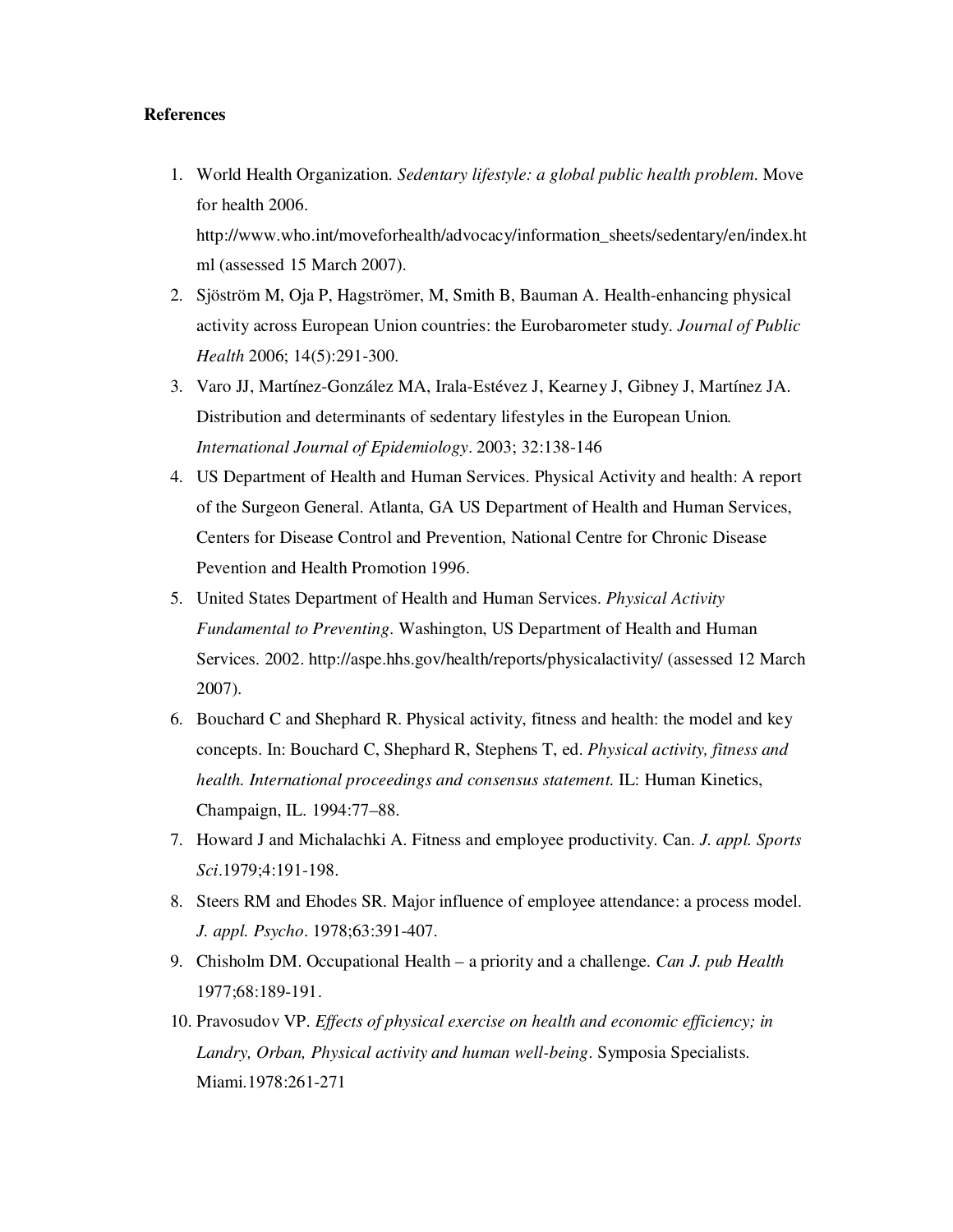# **References**

1. World Health Organization. *Sedentary lifestyle: a global public health problem*. Move for health 2006.

http://www.who.int/moveforhealth/advocacy/information\_sheets/sedentary/en/index.ht ml (assessed 15 March 2007).

- 2. Sjöström M, Oja P, Hagströmer, M, Smith B, Bauman A. Health-enhancing physical activity across European Union countries: the Eurobarometer study. *Journal of Public Health* 2006; 14(5):291-300.
- 3. Varo JJ, Martínez-González MA, Irala-Estévez J, Kearney J, Gibney J, Martínez JA. Distribution and determinants of sedentary lifestyles in the European Union*. International Journal of Epidemiology*. 2003; 32:138-146
- 4. US Department of Health and Human Services. Physical Activity and health: A report of the Surgeon General. Atlanta, GA US Department of Health and Human Services, Centers for Disease Control and Prevention, National Centre for Chronic Disease Pevention and Health Promotion 1996.
- 5. United States Department of Health and Human Services. *Physical Activity Fundamental to Preventing*. Washington, US Department of Health and Human Services. 2002. http://aspe.hhs.gov/health/reports/physicalactivity/ (assessed 12 March 2007).
- 6. Bouchard C and Shephard R. Physical activity, fitness and health: the model and key concepts. In: Bouchard C, Shephard R, Stephens T, ed. *Physical activity, fitness and health. International proceedings and consensus statement.* IL: Human Kinetics, Champaign, IL. 1994:77–88.
- 7. Howard J and Michalachki A. Fitness and employee productivity. Can. *J. appl. Sports Sci*.1979;4:191-198.
- 8. Steers RM and Ehodes SR. Major influence of employee attendance: a process model. *J. appl. Psycho*. 1978;63:391-407.
- 9. Chisholm DM. Occupational Health a priority and a challenge. *Can J. pub Health* 1977;68:189-191.
- 10. Pravosudov VP. *Effects of physical exercise on health and economic efficiency; in Landry, Orban, Physical activity and human well-being*. Symposia Specialists. Miami.1978:261-271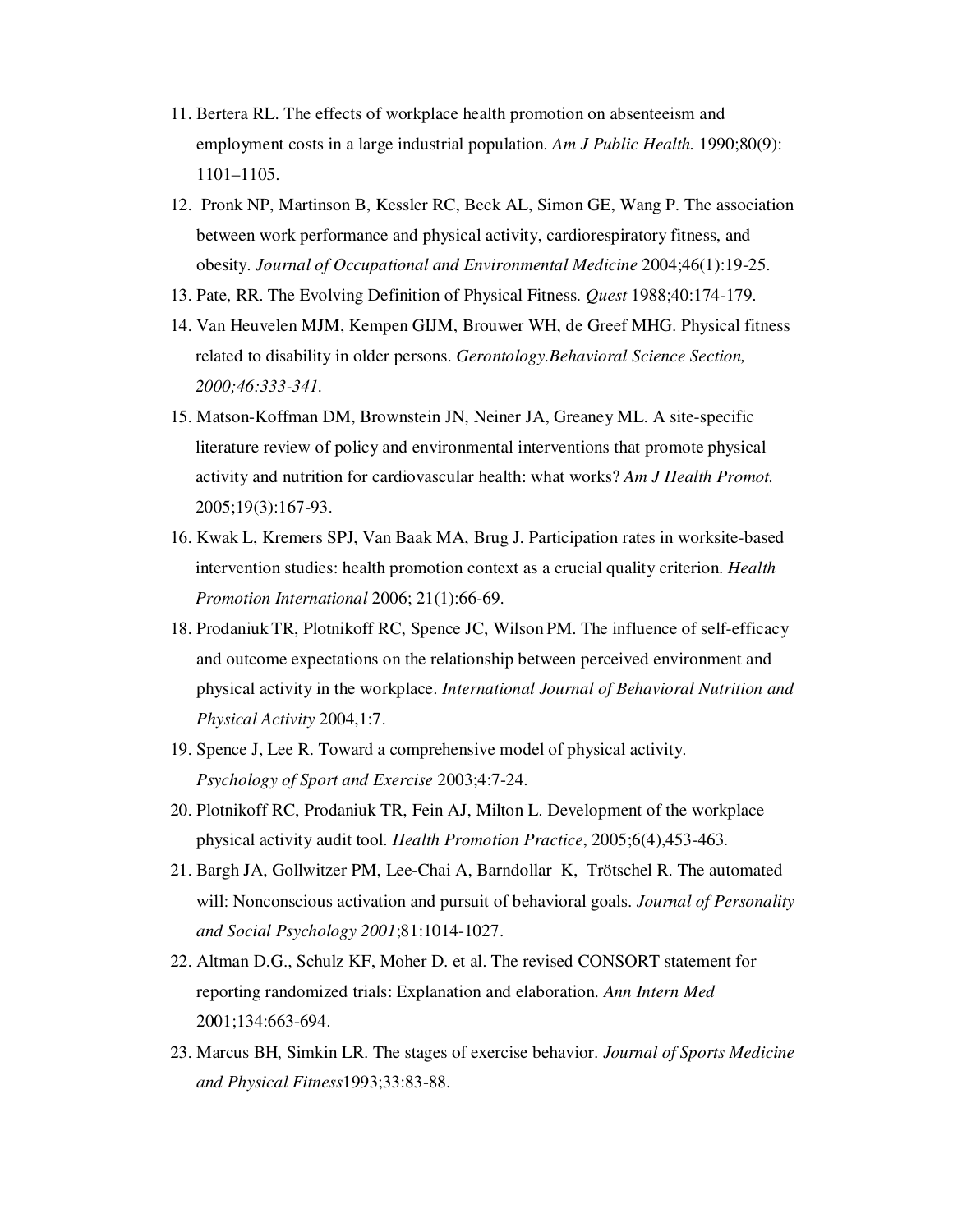- 11. Bertera RL. The effects of workplace health promotion on absenteeism and employment costs in a large industrial population. *Am J Public Health.* 1990;80(9): 1101–1105.
- 12. Pronk NP, Martinson B, Kessler RC, Beck AL, Simon GE, Wang P. The association between work performance and physical activity, cardiorespiratory fitness, and obesity. *Journal of Occupational and Environmental Medicine* 2004;46(1):19-25.
- 13. Pate, RR. The Evolving Definition of Physical Fitness. *Quest* 1988;40:174-179.
- 14. Van Heuvelen MJM, Kempen GIJM, Brouwer WH, de Greef MHG. Physical fitness related to disability in older persons. *Gerontology.Behavioral Science Section, 2000;46:333-341.*
- 15. Matson-Koffman DM, Brownstein JN, Neiner JA, Greaney ML. A site-specific literature review of policy and environmental interventions that promote physical activity and nutrition for cardiovascular health: what works? *Am J Health Promot.* 2005;19(3):167-93.
- 16. Kwak L, Kremers SPJ, Van Baak MA, Brug J. Participation rates in worksite-based intervention studies: health promotion context as a crucial quality criterion. *Health Promotion International* 2006; 21(1):66-69.
- 18. Prodaniuk TR, Plotnikoff RC, Spence JC, Wilson PM. The influence of self-efficacy and outcome expectations on the relationship between perceived environment and physical activity in the workplace. *International Journal of Behavioral Nutrition and Physical Activity* 2004,1:7.
- 19. Spence J, Lee R. Toward a comprehensive model of physical activity. *Psychology of Sport and Exercise* 2003;4:7-24.
- 20. Plotnikoff RC, Prodaniuk TR, Fein AJ, Milton L. Development of the workplace physical activity audit tool. *Health Promotion Practice*, 2005;6(4),453-463.
- 21. Bargh JA, Gollwitzer PM, Lee-Chai A, Barndollar K, Trötschel R. The automated will: Nonconscious activation and pursuit of behavioral goals. *Journal of Personality and Social Psychology 2001*;81:1014-1027.
- 22. Altman D.G., Schulz KF, Moher D. et al. The revised CONSORT statement for reporting randomized trials: Explanation and elaboration. *Ann Intern Med* 2001;134:663-694.
- 23. Marcus BH, Simkin LR. The stages of exercise behavior. *Journal of Sports Medicine and Physical Fitness*1993;33:83-88.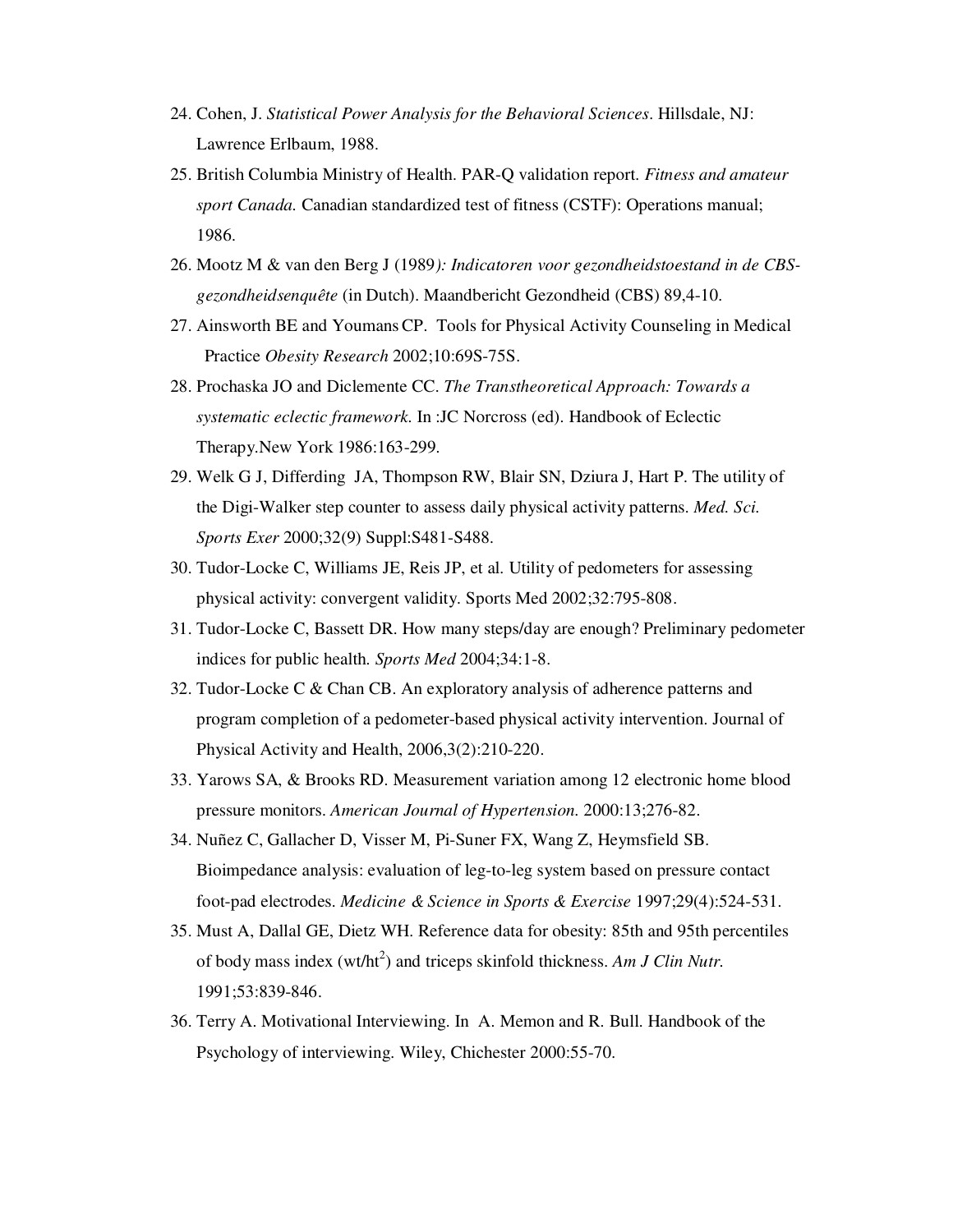- 24. Cohen, J. *Statistical Power Analysis for the Behavioral Sciences*. Hillsdale, NJ: Lawrence Erlbaum, 1988.
- 25. British Columbia Ministry of Health. PAR-Q validation report. *Fitness and amateur sport Canada.* Canadian standardized test of fitness (CSTF): Operations manual; 1986.
- 26. Mootz M & van den Berg J (1989*): Indicatoren voor gezondheidstoestand in de CBSgezondheidsenquête* (in Dutch). Maandbericht Gezondheid (CBS) 89,4-10.
- 27. Ainsworth BE and YoumansCP. Tools for Physical Activity Counseling in Medical Practice *Obesity Research* 2002;10:69S-75S.
- 28. Prochaska JO and Diclemente CC. *The Transtheoretical Approach: Towards a systematic eclectic framework*. In :JC Norcross (ed). Handbook of Eclectic Therapy.New York 1986:163-299.
- 29. Welk G J, Differding JA, Thompson RW, Blair SN, Dziura J, Hart P. The utility of the Digi-Walker step counter to assess daily physical activity patterns. *Med. Sci. Sports Exer* 2000;32(9) Suppl:S481-S488.
- 30. Tudor-Locke C, Williams JE, Reis JP, et al. Utility of pedometers for assessing physical activity: convergent validity. Sports Med 2002;32:795-808.
- 31. Tudor-Locke C, Bassett DR. How many steps/day are enough? Preliminary pedometer indices for public health. *Sports Med* 2004;34:1-8.
- 32. Tudor-Locke C & Chan CB. An exploratory analysis of adherence patterns and program completion of a pedometer-based physical activity intervention. Journal of Physical Activity and Health, 2006,3(2):210-220.
- 33. Yarows SA, & Brooks RD. Measurement variation among 12 electronic home blood pressure monitors. *American Journal of Hypertension.* 2000:13;276-82.
- 34. Nuñez C, Gallacher D, Visser M, Pi-Suner FX, Wang Z, Heymsfield SB. Bioimpedance analysis: evaluation of leg-to-leg system based on pressure contact foot-pad electrodes. *Medicine & Science in Sports & Exercise* 1997;29(4):524-531.
- 35. Must A, Dallal GE, Dietz WH. Reference data for obesity: 85th and 95th percentiles of body mass index (wt/ht<sup>2</sup>) and triceps skinfold thickness. Am J Clin Nutr. 1991;53:839-846.
- 36. Terry A. Motivational Interviewing. In A. Memon and R. Bull. Handbook of the Psychology of interviewing. Wiley, Chichester 2000:55-70.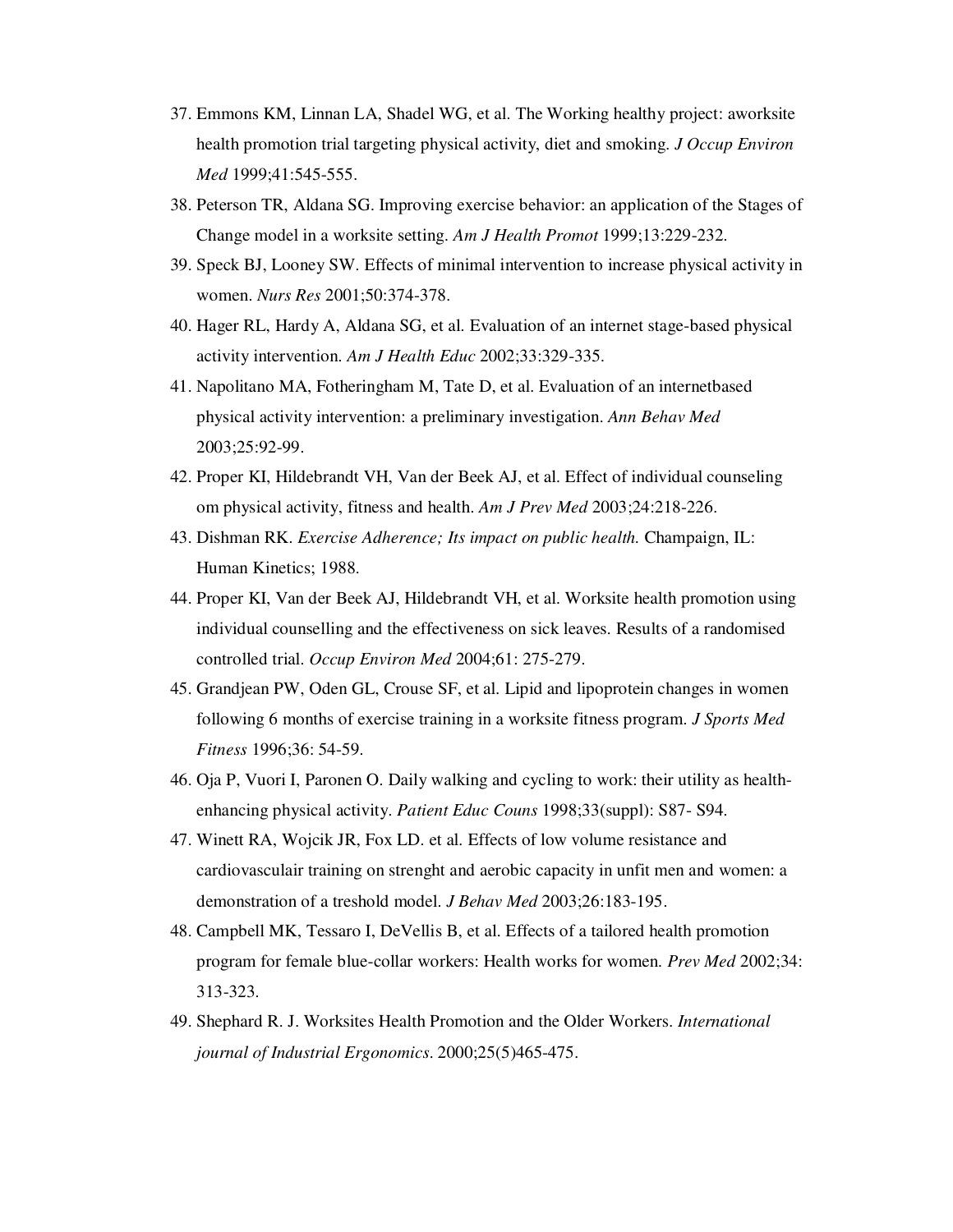- 37. Emmons KM, Linnan LA, Shadel WG, et al. The Working healthy project: aworksite health promotion trial targeting physical activity, diet and smoking. *J Occup Environ Med* 1999;41:545-555.
- 38. Peterson TR, Aldana SG. Improving exercise behavior: an application of the Stages of Change model in a worksite setting. *Am J Health Promot* 1999;13:229-232.
- 39. Speck BJ, Looney SW. Effects of minimal intervention to increase physical activity in women. *Nurs Res* 2001;50:374-378.
- 40. Hager RL, Hardy A, Aldana SG, et al. Evaluation of an internet stage-based physical activity intervention. *Am J Health Educ* 2002;33:329-335.
- 41. Napolitano MA, Fotheringham M, Tate D, et al. Evaluation of an internetbased physical activity intervention: a preliminary investigation. *Ann Behav Med* 2003;25:92-99.
- 42. Proper KI, Hildebrandt VH, Van der Beek AJ, et al. Effect of individual counseling om physical activity, fitness and health. *Am J Prev Med* 2003;24:218-226.
- 43. Dishman RK. *Exercise Adherence; Its impact on public health.* Champaign, IL: Human Kinetics; 1988.
- 44. Proper KI, Van der Beek AJ, Hildebrandt VH, et al. Worksite health promotion using individual counselling and the effectiveness on sick leaves. Results of a randomised controlled trial. *Occup Environ Med* 2004;61: 275-279.
- 45. Grandjean PW, Oden GL, Crouse SF, et al. Lipid and lipoprotein changes in women following 6 months of exercise training in a worksite fitness program. *J Sports Med Fitness* 1996;36: 54-59.
- 46. Oja P, Vuori I, Paronen O. Daily walking and cycling to work: their utility as healthenhancing physical activity. *Patient Educ Couns* 1998;33(suppl): S87- S94.
- 47. Winett RA, Wojcik JR, Fox LD. et al. Effects of low volume resistance and cardiovasculair training on strenght and aerobic capacity in unfit men and women: a demonstration of a treshold model. *J Behav Med* 2003;26:183-195.
- 48. Campbell MK, Tessaro I, DeVellis B, et al. Effects of a tailored health promotion program for female blue-collar workers: Health works for women. *Prev Med* 2002;34: 313-323.
- 49. Shephard R. J. Worksites Health Promotion and the Older Workers. *International journal of Industrial Ergonomics*. 2000;25(5)465-475.